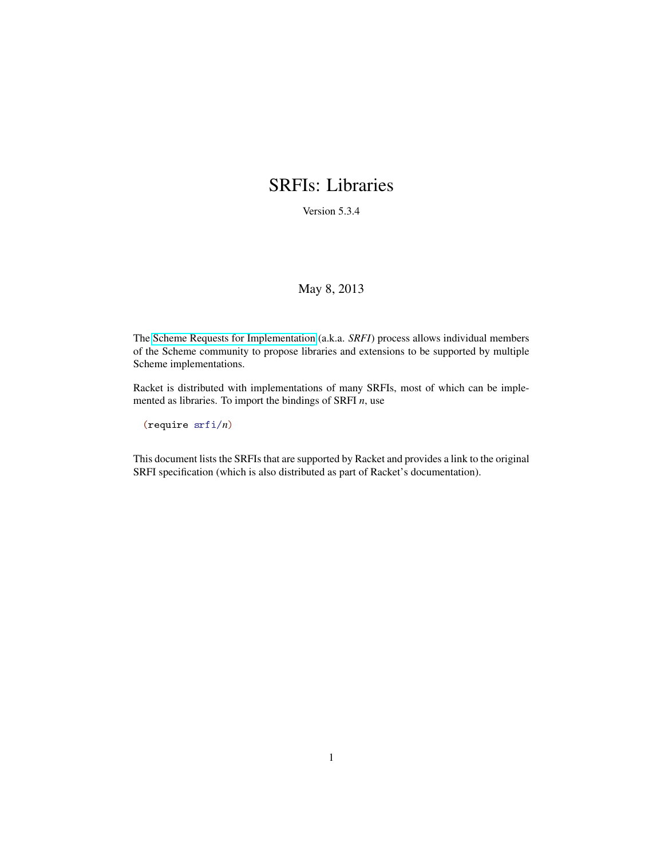### <span id="page-0-0"></span>SRFIs: Libraries

Version 5.3.4

#### May 8, 2013

The [Scheme Requests for Implementation](http://srfi.schemers.org/) (a.k.a. *SRFI*) process allows individual members of the Scheme community to propose libraries and extensions to be supported by multiple Scheme implementations.

Racket is distributed with implementations of many SRFIs, most of which can be implemented as libraries. To import the bindings of SRFI *n*, use

(require srfi/*n*)

This document lists the SRFIs that are supported by Racket and provides a link to the original SRFI specification (which is also distributed as part of Racket's documentation).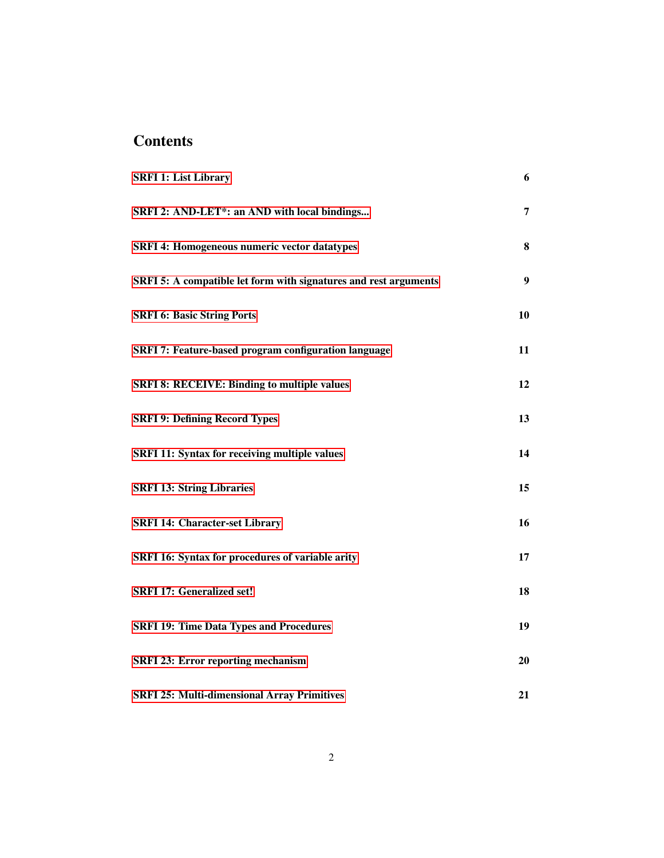### **Contents**

| <b>SRFI 1: List Library</b>                                      | 6              |
|------------------------------------------------------------------|----------------|
| SRFI 2: AND-LET*: an AND with local bindings                     | $\overline{7}$ |
| <b>SRFI 4: Homogeneous numeric vector datatypes</b>              | 8              |
| SRFI 5: A compatible let form with signatures and rest arguments | 9              |
| <b>SRFI 6: Basic String Ports</b>                                | 10             |
| <b>SRFI 7: Feature-based program configuration language</b>      | 11             |
| <b>SRFI 8: RECEIVE: Binding to multiple values</b>               | 12             |
| <b>SRFI 9: Defining Record Types</b>                             | 13             |
| <b>SRFI 11: Syntax for receiving multiple values</b>             | 14             |
| <b>SRFI 13: String Libraries</b>                                 | 15             |
| <b>SRFI 14: Character-set Library</b>                            | 16             |
| SRFI 16: Syntax for procedures of variable arity                 | 17             |
| <b>SRFI 17: Generalized set!</b>                                 | 18             |
| <b>SRFI 19: Time Data Types and Procedures</b>                   | 19             |
| <b>SRFI 23: Error reporting mechanism</b>                        | 20             |
| <b>SRFI 25: Multi-dimensional Array Primitives</b>               | 21             |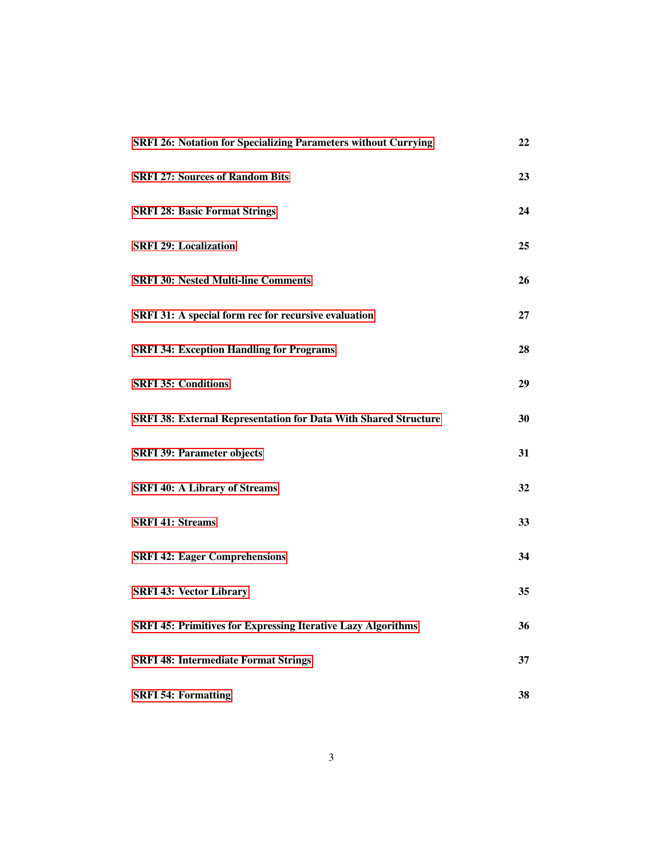| <b>SRFI 26: Notation for Specializing Parameters without Currying</b>  | 22 |
|------------------------------------------------------------------------|----|
| <b>SRFI 27: Sources of Random Bits</b>                                 | 23 |
| <b>SRFI 28: Basic Format Strings</b>                                   | 24 |
| <b>SRFI 29: Localization</b>                                           | 25 |
| <b>SRFI 30: Nested Multi-line Comments</b>                             | 26 |
| SRFI 31: A special form rec for recursive evaluation                   | 27 |
| <b>SRFI 34: Exception Handling for Programs</b>                        | 28 |
| <b>SRFI 35: Conditions</b>                                             | 29 |
| <b>SRFI 38: External Representation for Data With Shared Structure</b> | 30 |
| <b>SRFI 39: Parameter objects</b>                                      | 31 |
| <b>SRFI 40: A Library of Streams</b>                                   | 32 |
| <b>SRFI 41: Streams</b>                                                | 33 |
| <b>SRFI 42: Eager Comprehensions</b>                                   | 34 |
| <b>SRFI 43: Vector Library</b>                                         | 35 |
| <b>SRFI 45: Primitives for Expressing Iterative Lazy Algorithms</b>    | 36 |
| <b>SRFI 48: Intermediate Format Strings</b>                            | 37 |
| <b>SRFI 54: Formatting</b>                                             | 38 |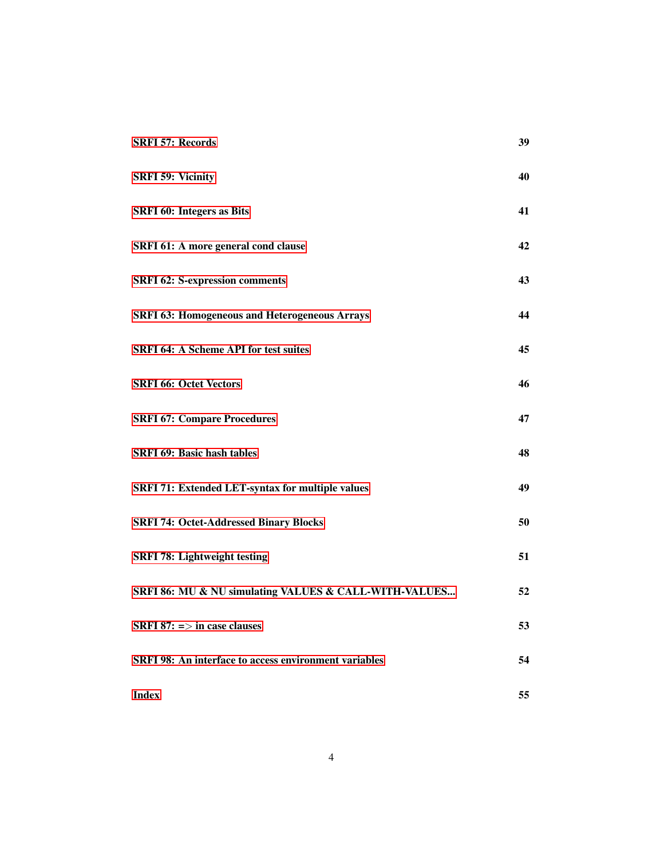| <b>SRFI 57: Records</b>                                      | 39 |
|--------------------------------------------------------------|----|
| <b>SRFI 59: Vicinity</b>                                     | 40 |
| <b>SRFI 60: Integers as Bits</b>                             | 41 |
| SRFI 61: A more general cond clause                          | 42 |
| <b>SRFI 62: S-expression comments</b>                        | 43 |
| <b>SRFI 63: Homogeneous and Heterogeneous Arrays</b>         | 44 |
| <b>SRFI 64: A Scheme API for test suites</b>                 | 45 |
| <b>SRFI 66: Octet Vectors</b>                                | 46 |
| <b>SRFI 67: Compare Procedures</b>                           | 47 |
| <b>SRFI 69: Basic hash tables</b>                            | 48 |
| SRFI 71: Extended LET-syntax for multiple values             | 49 |
| <b>SRFI 74: Octet-Addressed Binary Blocks</b>                | 50 |
| <b>SRFI 78: Lightweight testing</b>                          | 51 |
| SRFI 86: MU & NU simulating VALUES & CALL-WITH-VALUES        | 52 |
| <b>SRFI 87:</b> $\Rightarrow$ in case clauses                | 53 |
| <b>SRFI 98: An interface to access environment variables</b> | 54 |
| <b>Index</b>                                                 | 55 |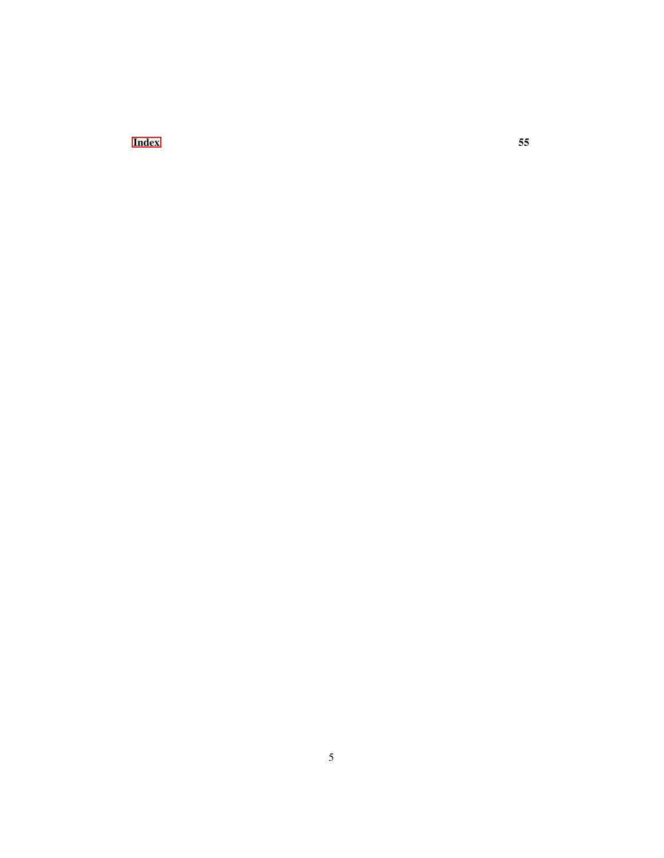**[Index](#page-54-0)** 55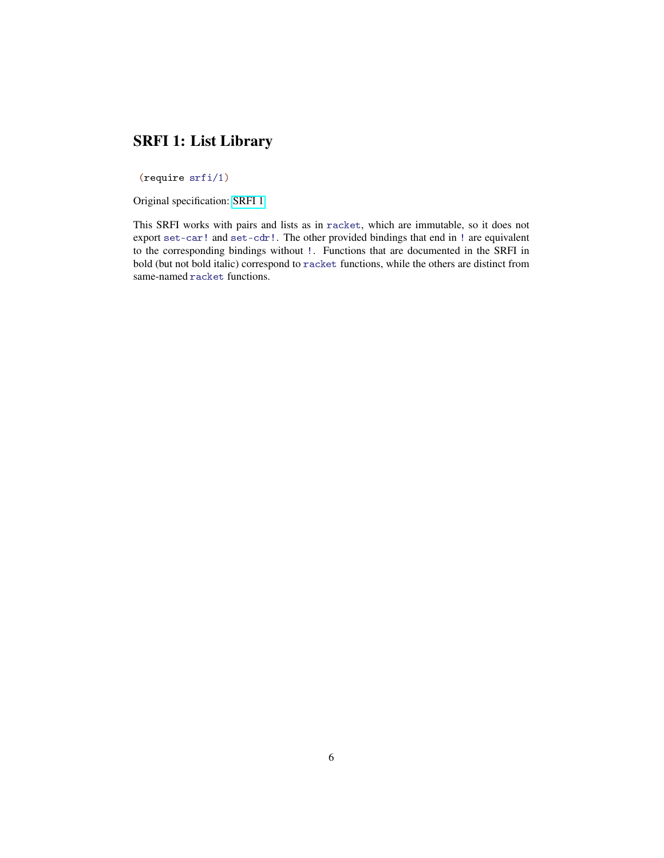#### SRFI 1: List Library

<span id="page-5-0"></span>(require srfi/1)

Original specification: [SRFI 1](http://docs.racket-lang.org/srfi-std/srfi-1.html)

This SRFI works with pairs and lists as in racket, which are immutable, so it does not export set-car! and set-cdr!. The other provided bindings that end in ! are equivalent to the corresponding bindings without !. Functions that are documented in the SRFI in bold (but not bold italic) correspond to racket functions, while the others are distinct from same-named racket functions.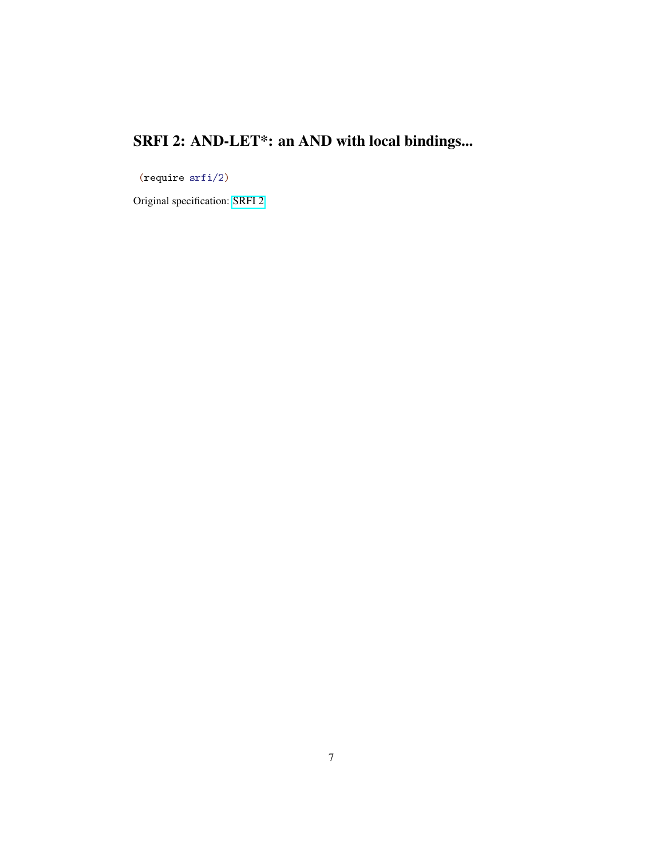# SRFI 2: AND-LET\*: an AND with local bindings...

<span id="page-6-0"></span>(require srfi/2)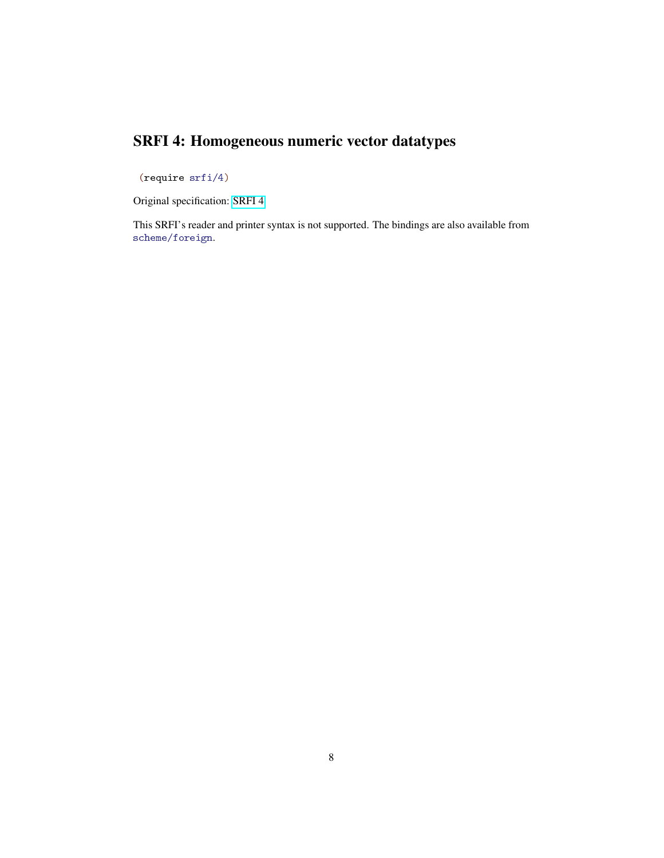### SRFI 4: Homogeneous numeric vector datatypes

<span id="page-7-0"></span>(require srfi/4)

Original specification: [SRFI 4](http://docs.racket-lang.org/srfi-std/srfi-4.html)

This SRFI's reader and printer syntax is not supported. The bindings are also available from scheme/foreign.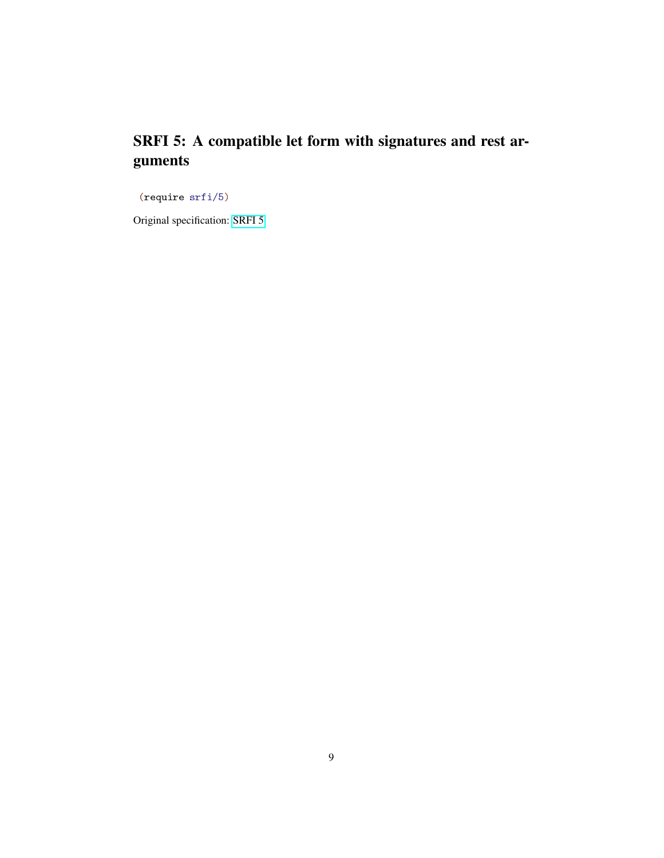### SRFI 5: A compatible let form with signatures and rest arguments

<span id="page-8-0"></span>(require srfi/5)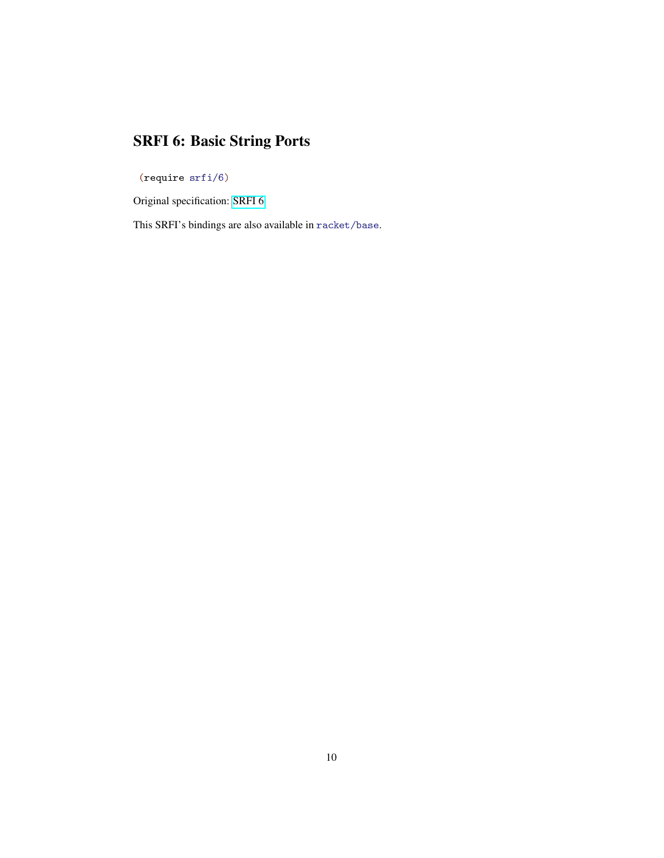# SRFI 6: Basic String Ports

<span id="page-9-0"></span>(require srfi/6)

Original specification: [SRFI 6](http://docs.racket-lang.org/srfi-std/srfi-6.html)

This SRFI's bindings are also available in racket/base.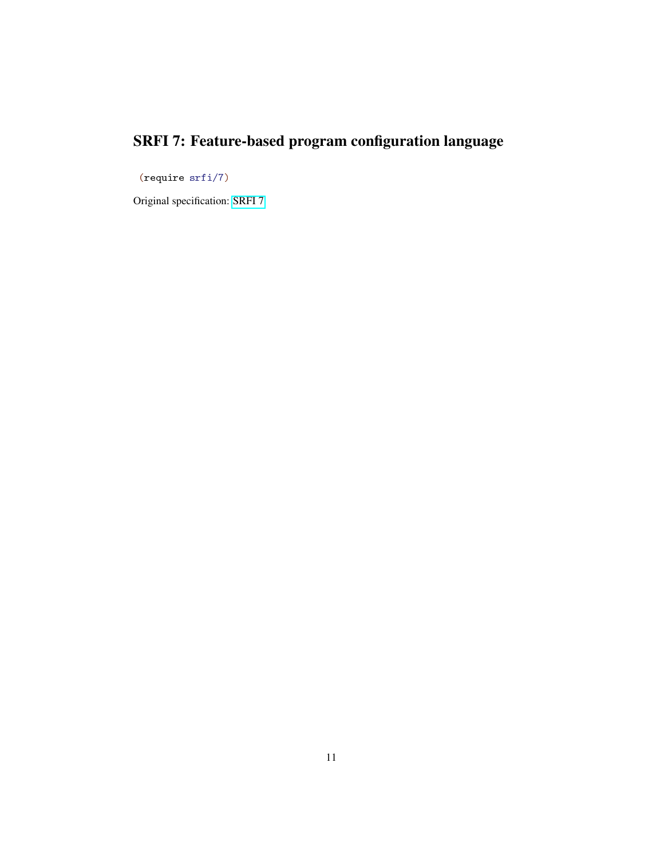# SRFI 7: Feature-based program configuration language

<span id="page-10-0"></span>(require srfi/7)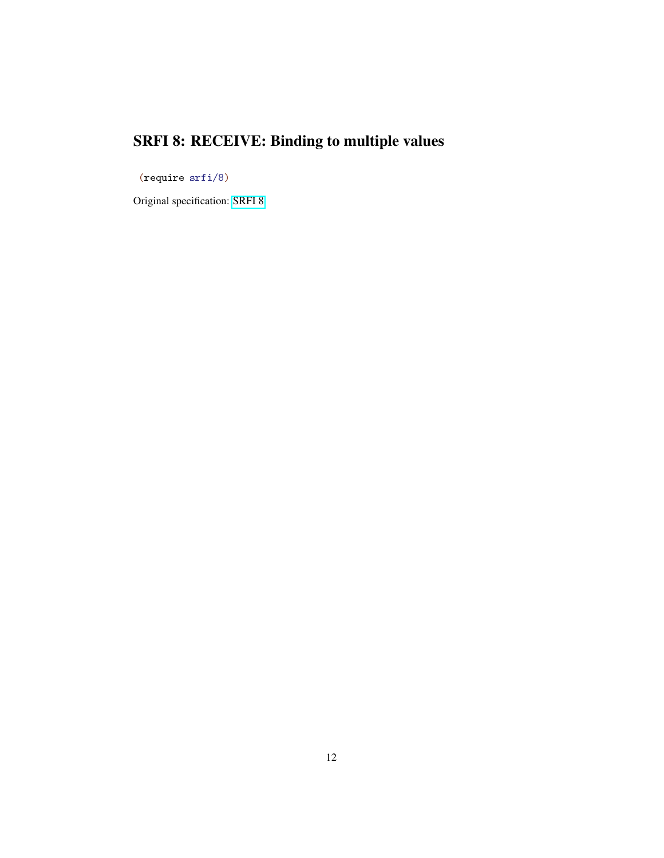# SRFI 8: RECEIVE: Binding to multiple values

<span id="page-11-0"></span>(require srfi/8)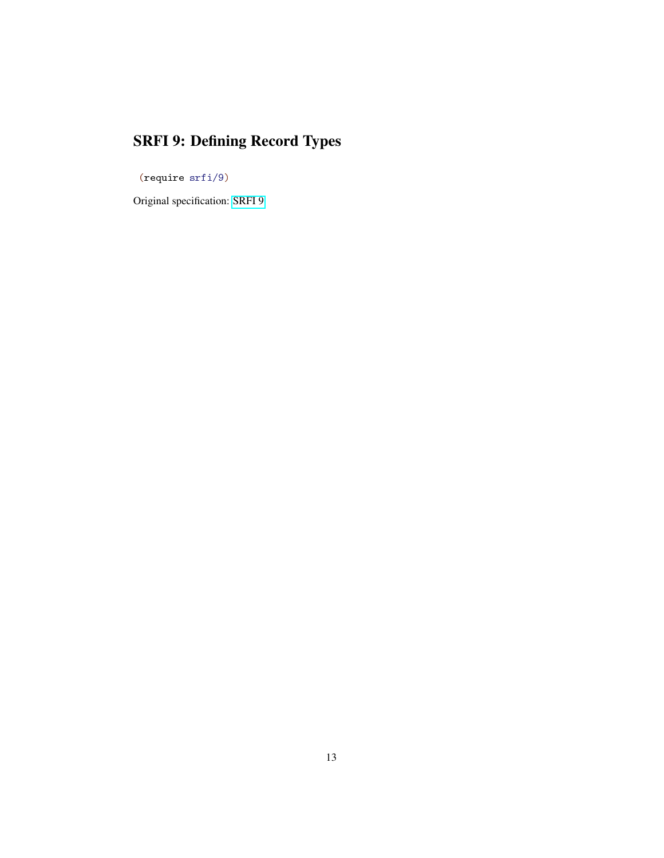# SRFI 9: Defining Record Types

<span id="page-12-0"></span>(require srfi/9)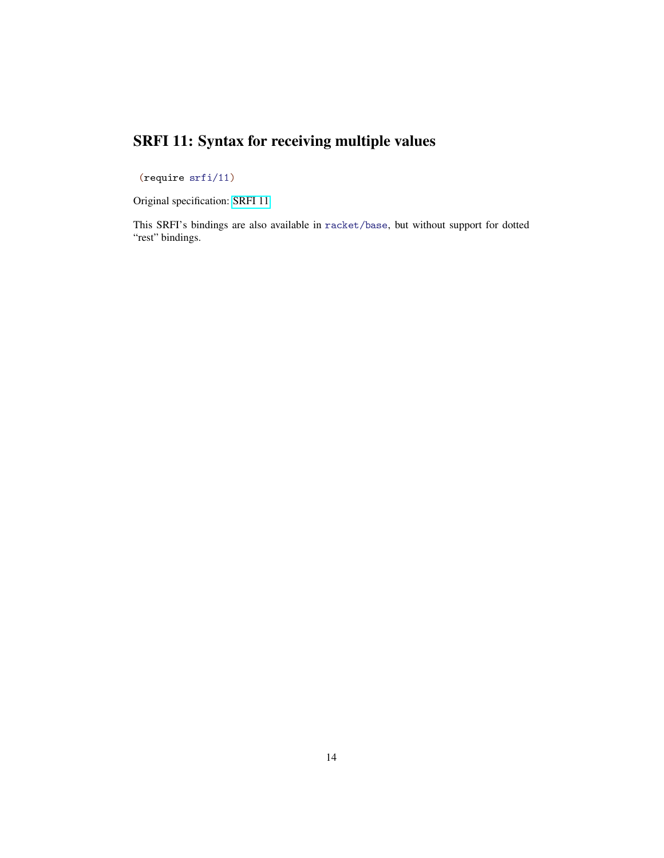### SRFI 11: Syntax for receiving multiple values

<span id="page-13-0"></span>(require srfi/11)

Original specification: [SRFI 11](http://docs.racket-lang.org/srfi-std/srfi-11.html)

This SRFI's bindings are also available in racket/base, but without support for dotted "rest" bindings.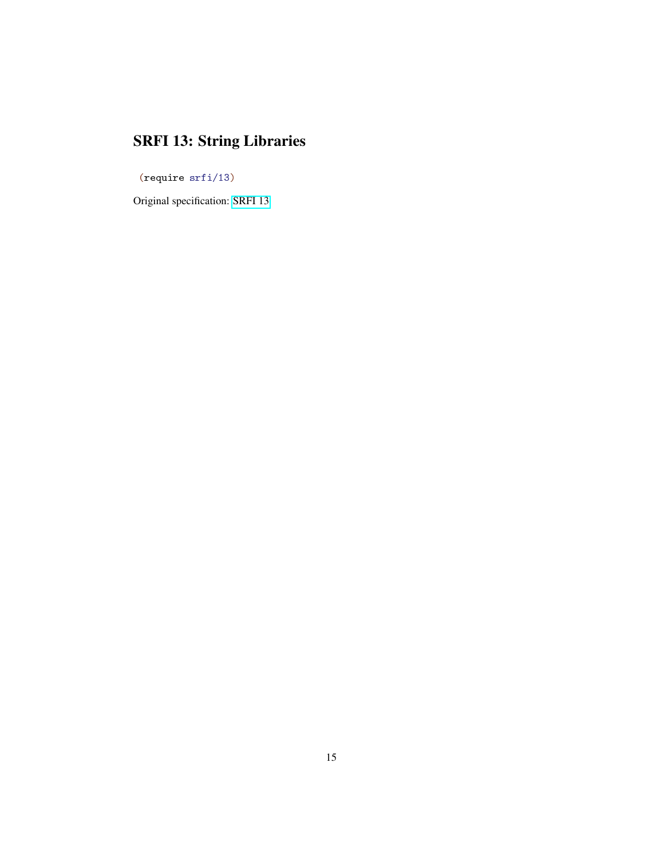# SRFI 13: String Libraries

<span id="page-14-0"></span>(require srfi/13)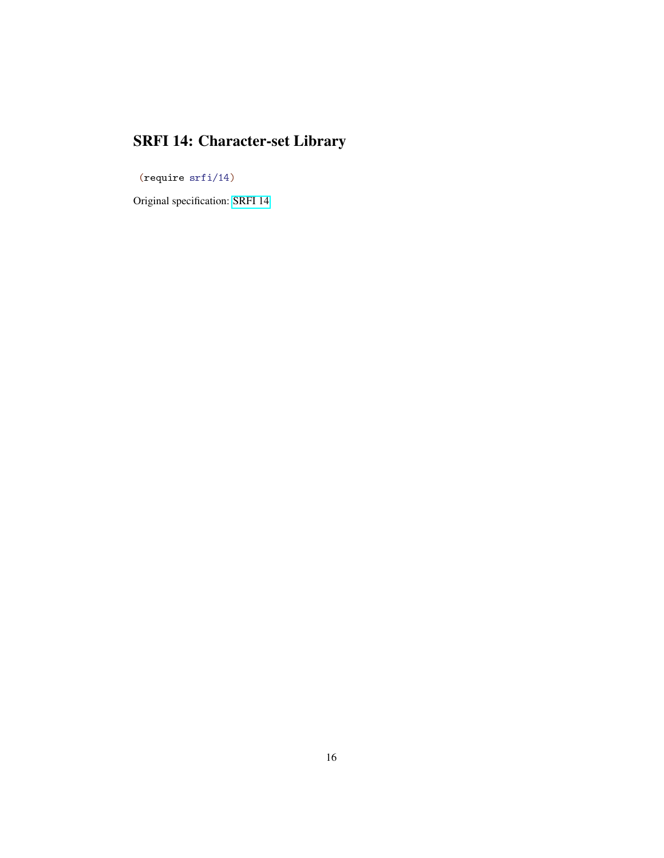# SRFI 14: Character-set Library

<span id="page-15-0"></span>(require srfi/14)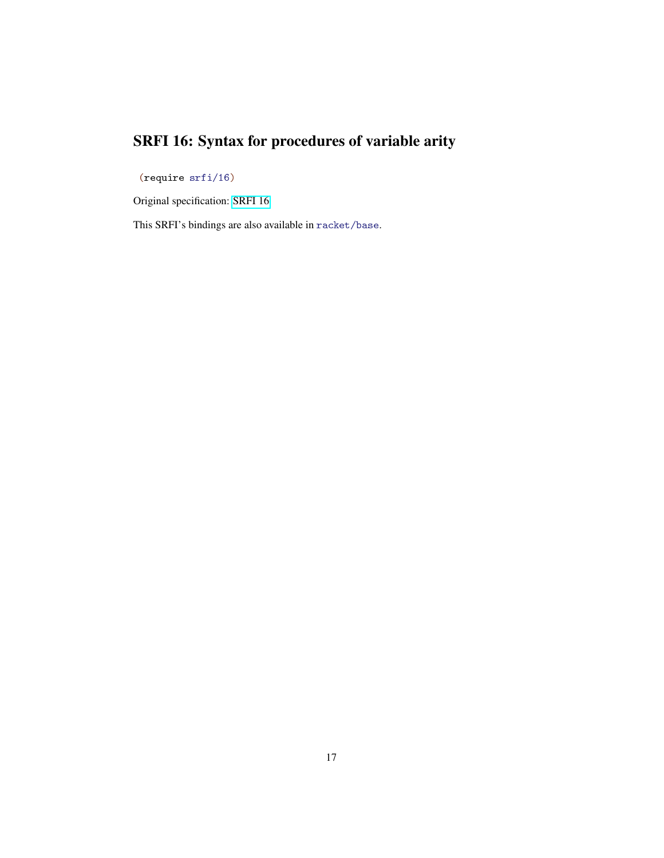# SRFI 16: Syntax for procedures of variable arity

<span id="page-16-0"></span>(require srfi/16)

Original specification: [SRFI 16](http://docs.racket-lang.org/srfi-std/srfi-16.html)

This SRFI's bindings are also available in racket/base.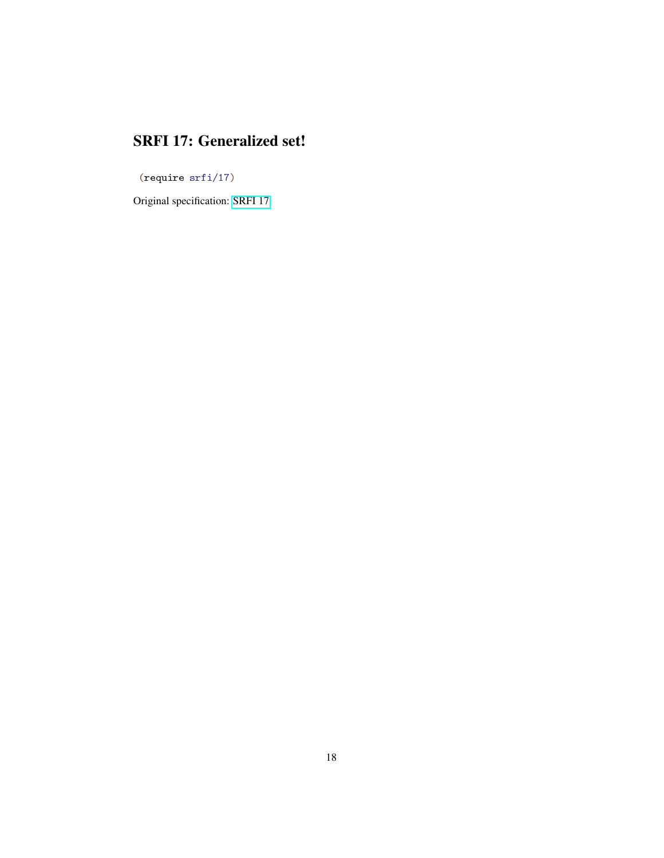#### SRFI 17: Generalized set!

<span id="page-17-0"></span>(require srfi/17)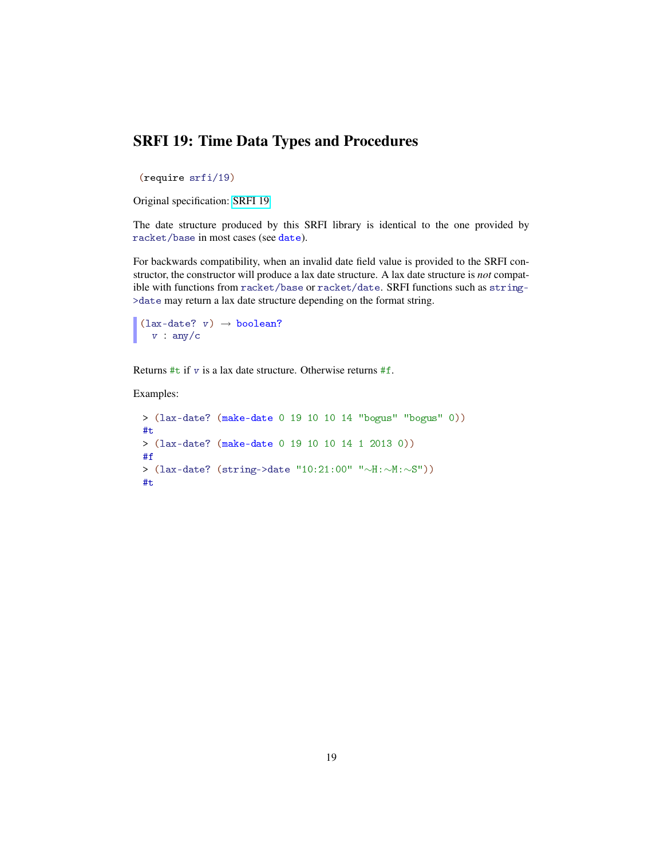#### SRFI 19: Time Data Types and Procedures

<span id="page-18-0"></span>(require srfi/19)

Original specification: [SRFI 19](http://docs.racket-lang.org/srfi-std/srfi-19.html)

The date structure produced by this SRFI library is identical to the one provided by racket/base in most cases (see date).

For backwards compatibility, when an invalid date field value is provided to the SRFI constructor, the constructor will produce a lax date structure. A lax date structure is *not* compatible with functions from racket/base or racket/date. SRFI functions such as string- >date may return a lax date structure depending on the format string.

 $(lax-date? v) \rightarrow boolean?$  $v : any/c$ 

Returns  $\#t$  if v is a lax date structure. Otherwise returns  $\#f$ .

Examples:

```
> (lax-date? (make-date 0 19 10 10 14 "bogus" "bogus" 0))
#t
> (lax-date? (make-date 0 19 10 10 14 1 2013 0))
#f
> (lax-date? (string->date "10:21:00" "∼H:∼M:∼S"))
#t
```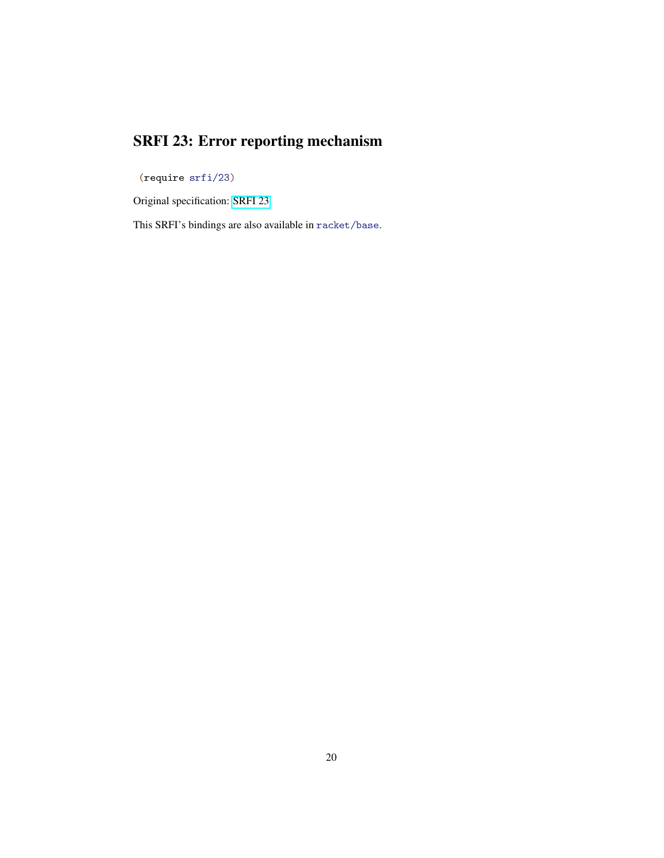# SRFI 23: Error reporting mechanism

<span id="page-19-0"></span>(require srfi/23)

Original specification: [SRFI 23](http://docs.racket-lang.org/srfi-std/srfi-23.html)

This SRFI's bindings are also available in racket/base.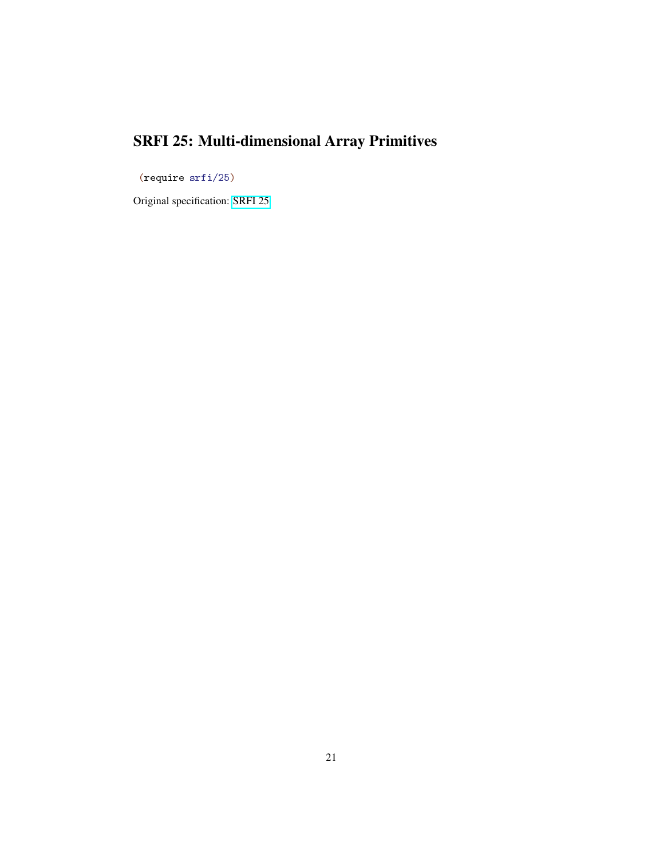# SRFI 25: Multi-dimensional Array Primitives

<span id="page-20-0"></span>(require srfi/25)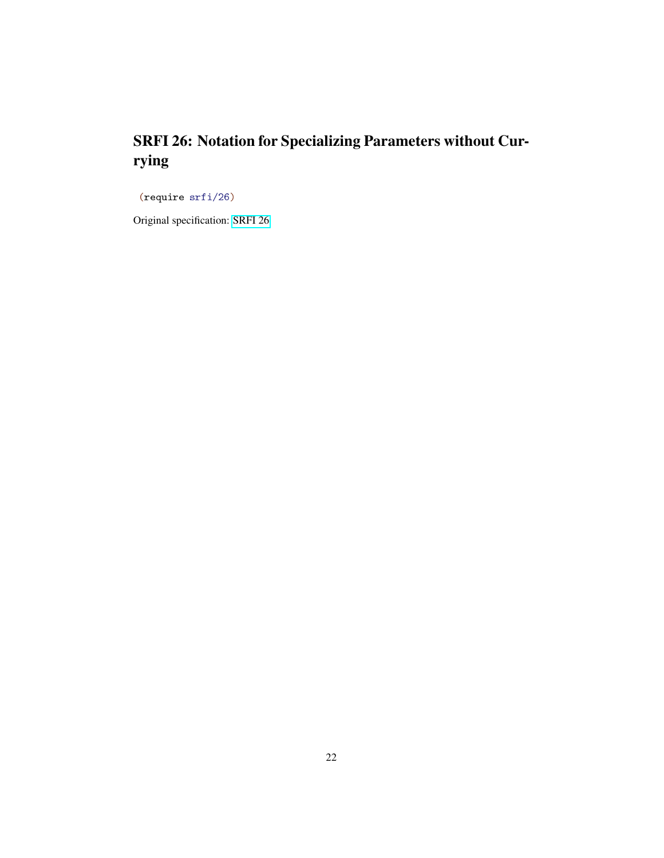# SRFI 26: Notation for Specializing Parameters without Currying

<span id="page-21-0"></span>(require srfi/26)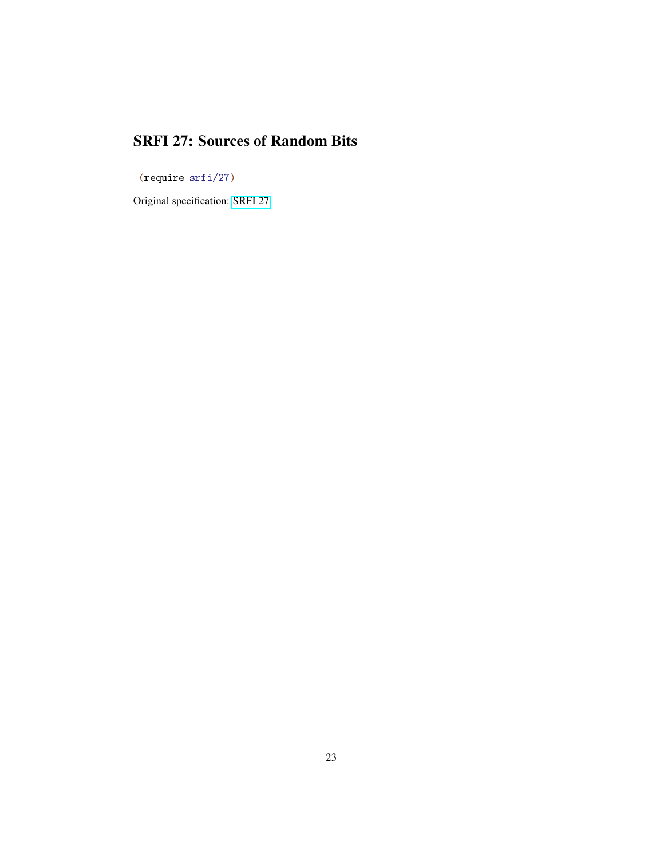#### SRFI 27: Sources of Random Bits

<span id="page-22-0"></span>(require srfi/27)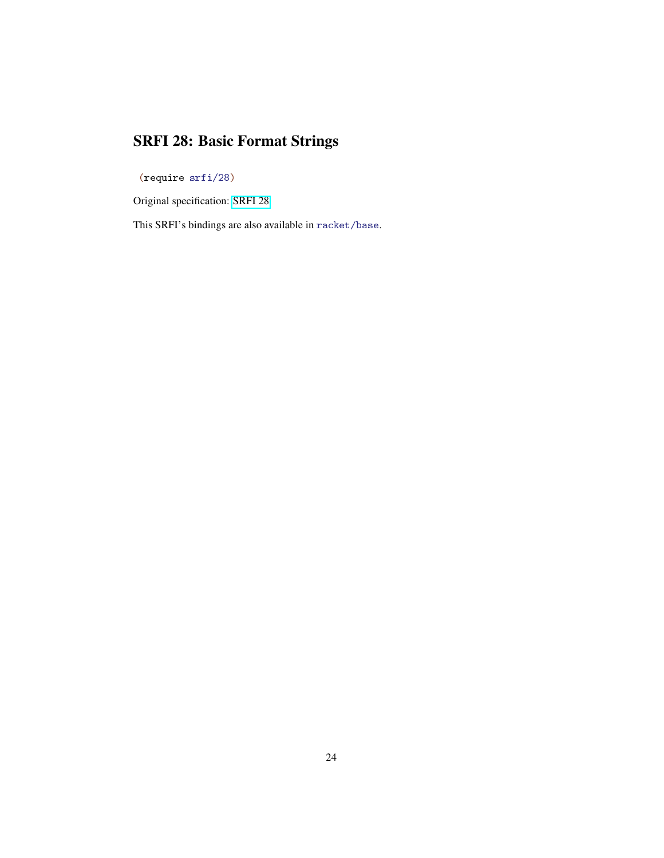# SRFI 28: Basic Format Strings

<span id="page-23-0"></span>(require srfi/28)

Original specification: [SRFI 28](http://docs.racket-lang.org/srfi-std/srfi-28.html)

This SRFI's bindings are also available in racket/base.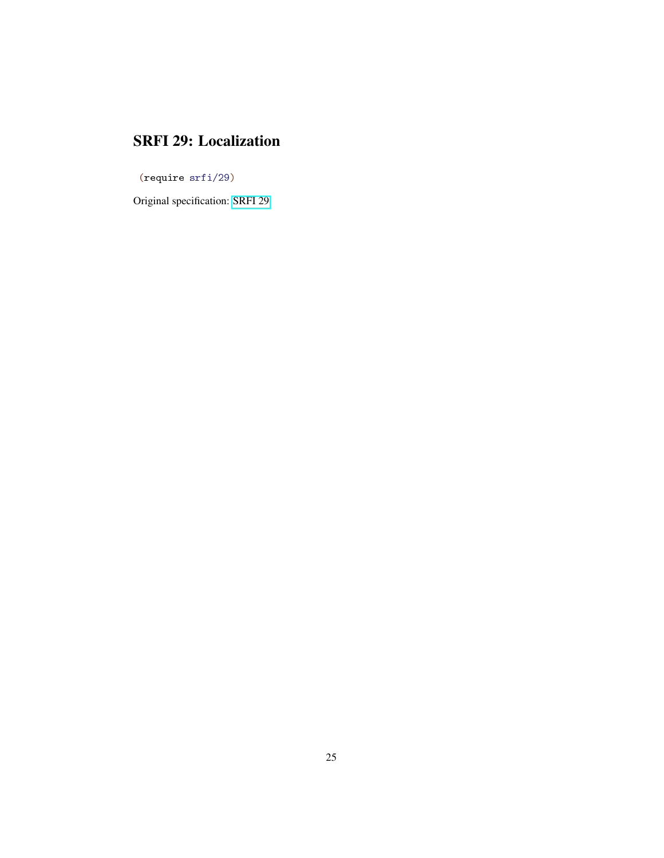#### SRFI 29: Localization

<span id="page-24-0"></span>(require srfi/29)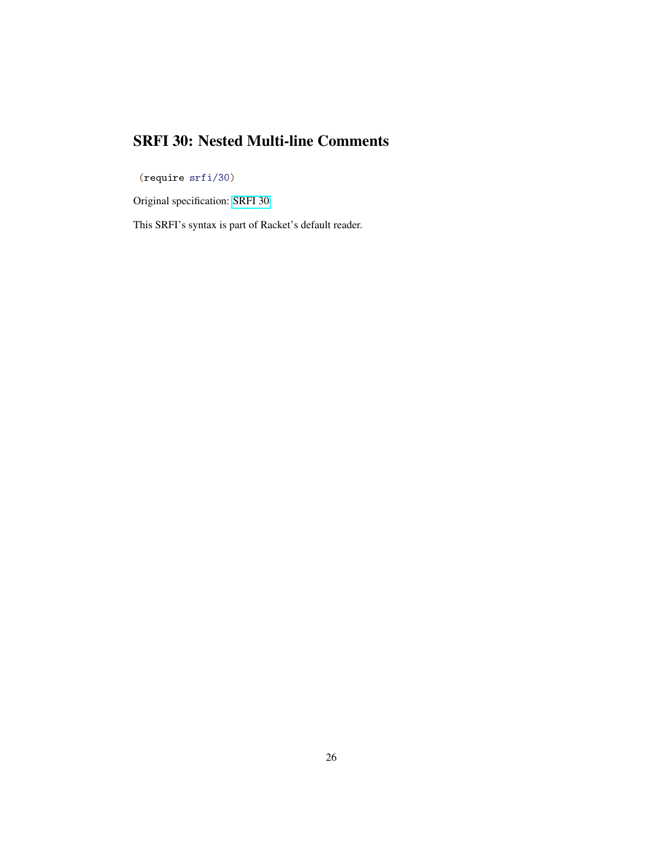#### SRFI 30: Nested Multi-line Comments

<span id="page-25-0"></span>(require srfi/30)

Original specification: [SRFI 30](http://docs.racket-lang.org/srfi-std/srfi-30.html)

This SRFI's syntax is part of Racket's default reader.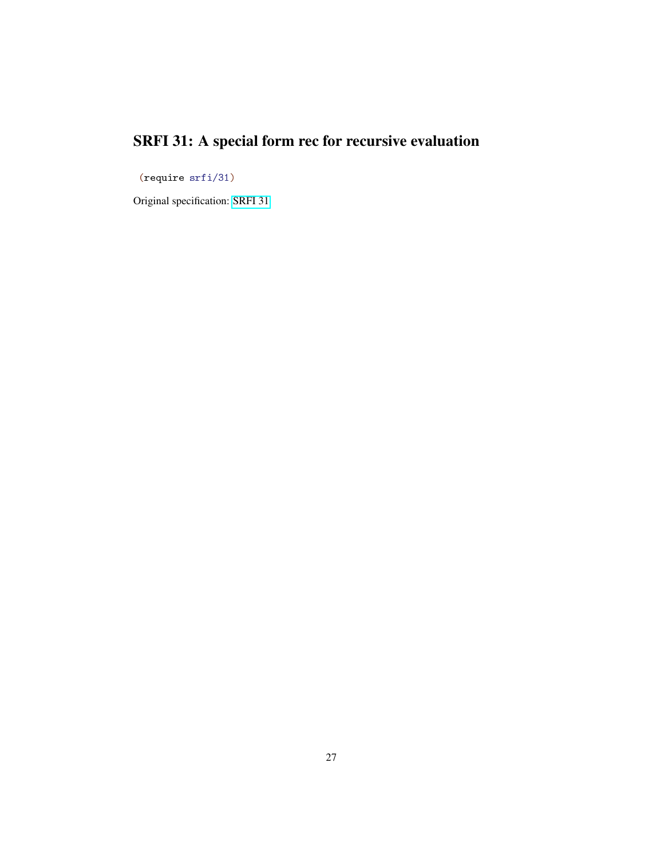# SRFI 31: A special form rec for recursive evaluation

<span id="page-26-0"></span>(require srfi/31)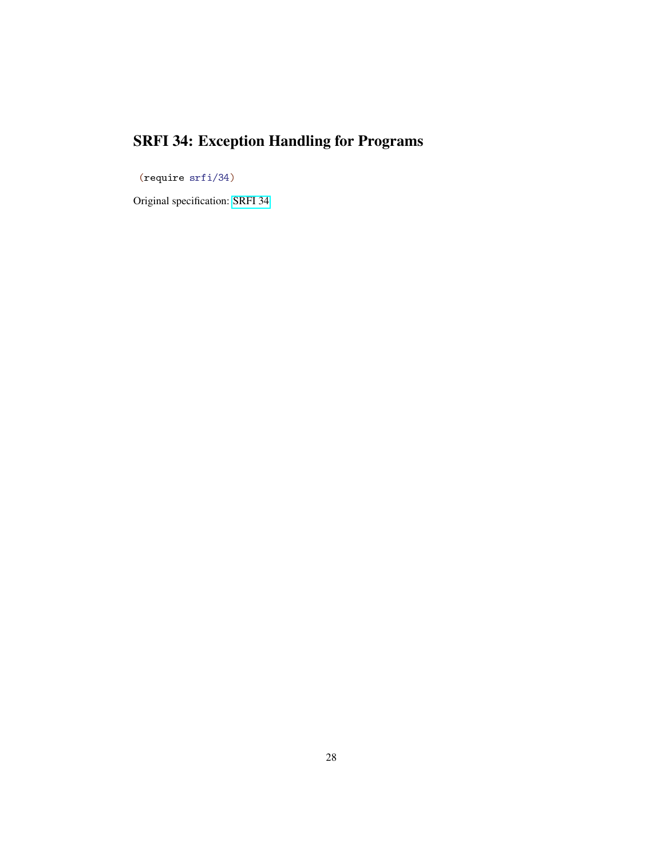# SRFI 34: Exception Handling for Programs

<span id="page-27-0"></span>(require srfi/34)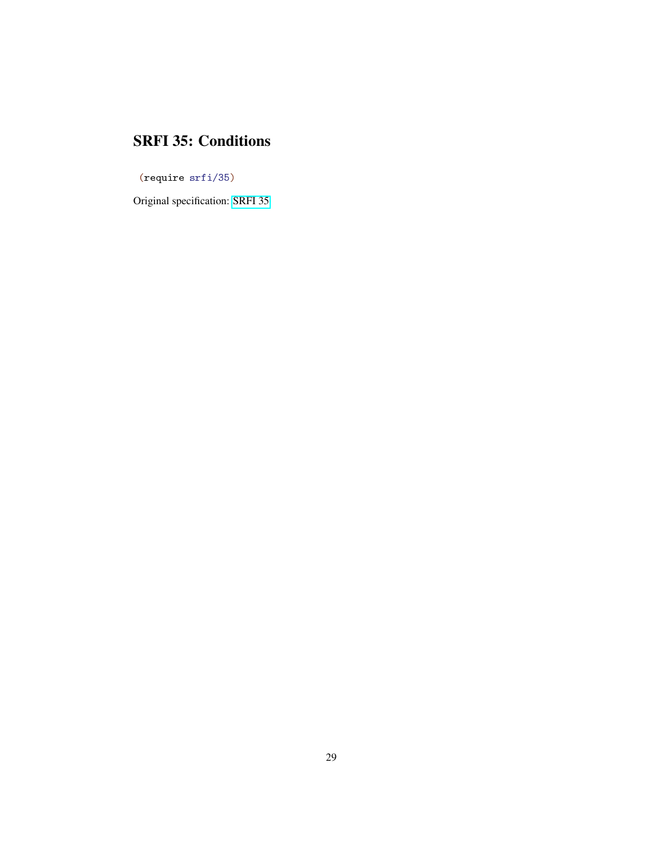#### SRFI 35: Conditions

<span id="page-28-0"></span>(require srfi/35)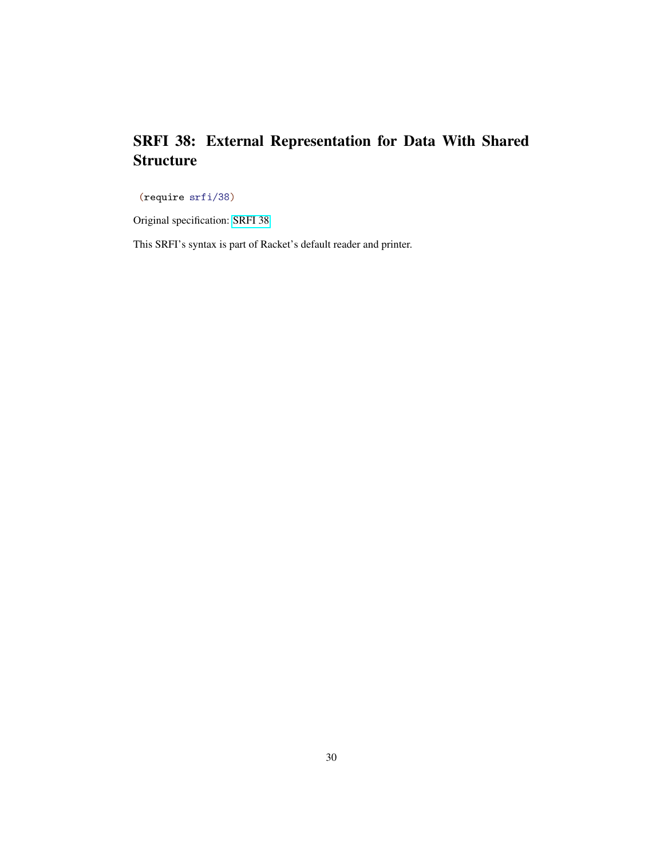#### SRFI 38: External Representation for Data With Shared **Structure**

<span id="page-29-0"></span>(require srfi/38)

Original specification: [SRFI 38](http://docs.racket-lang.org/srfi-std/srfi-38.html)

This SRFI's syntax is part of Racket's default reader and printer.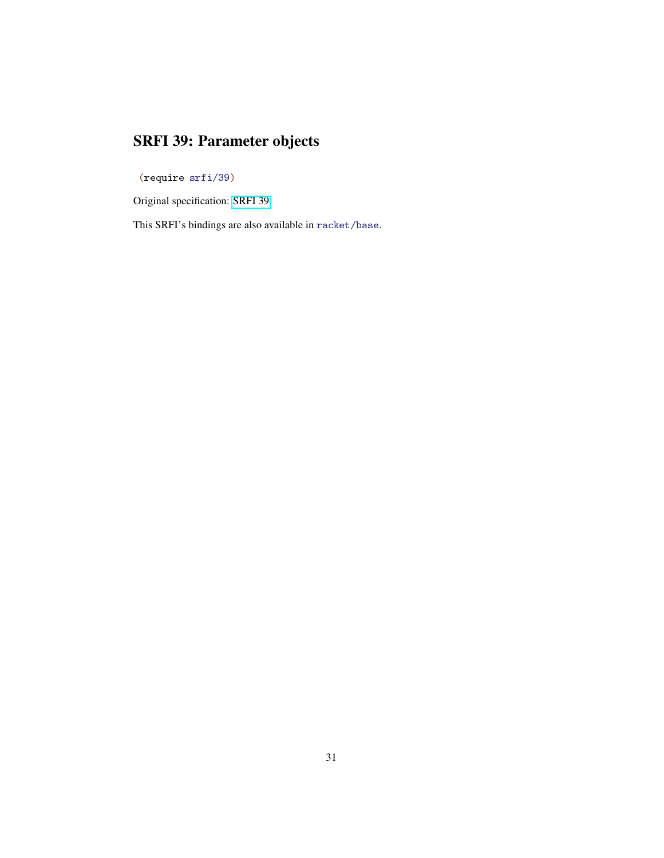# SRFI 39: Parameter objects

<span id="page-30-0"></span>(require srfi/39)

Original specification: [SRFI 39](http://docs.racket-lang.org/srfi-std/srfi-39.html)

This SRFI's bindings are also available in racket/base.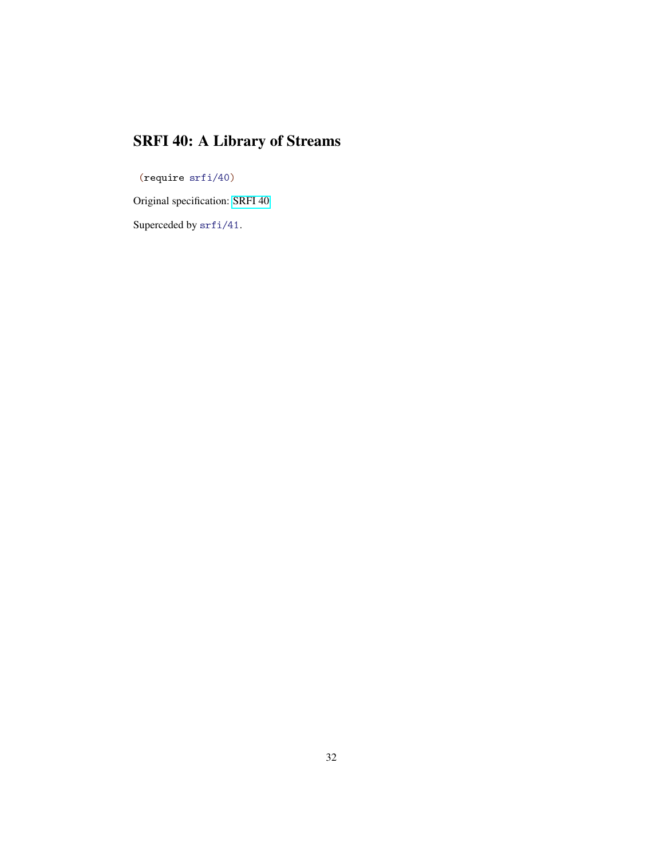# SRFI 40: A Library of Streams

<span id="page-31-0"></span>(require srfi/40)

Original specification: [SRFI 40](http://docs.racket-lang.org/srfi-std/srfi-40.html)

Superceded by srfi/41.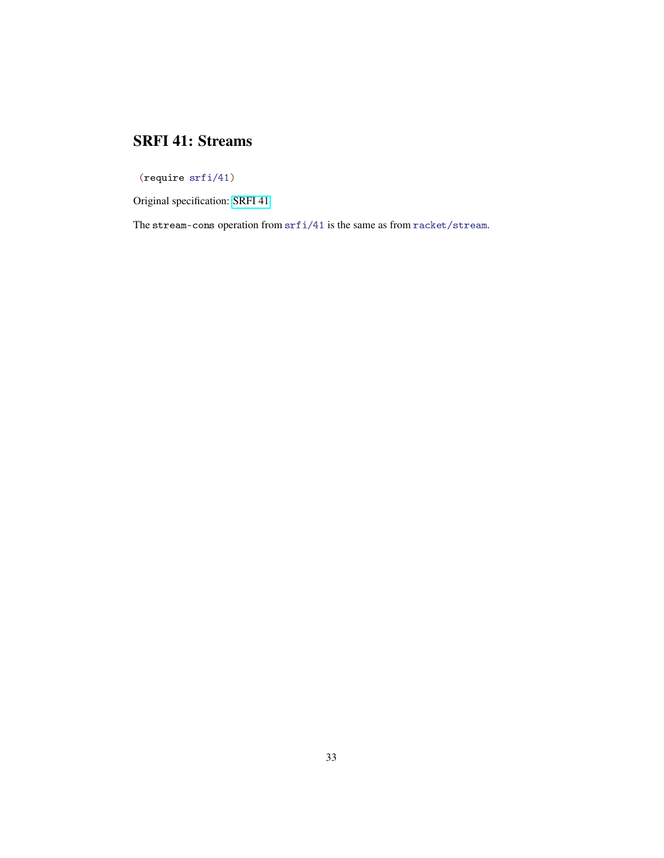#### SRFI 41: Streams

<span id="page-32-0"></span>(require srfi/41)

Original specification: [SRFI 41](http://docs.racket-lang.org/srfi-std/srfi-41/srfi-41.html)

The stream-cons operation from  $\text{srf}i/41$  is the same as from  $\text{racket}/\text{stream}$ .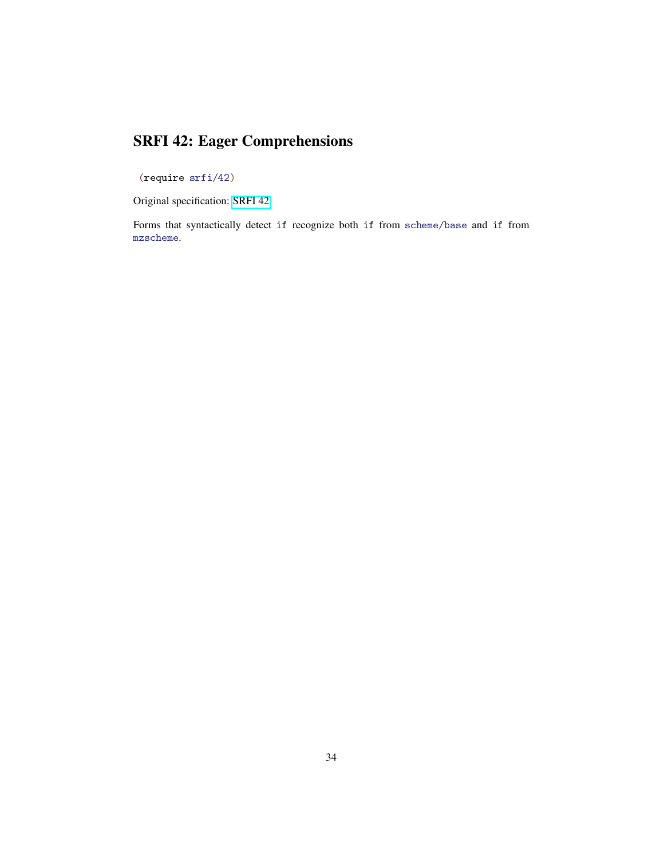### SRFI 42: Eager Comprehensions

<span id="page-33-0"></span>(require srfi/42)

Original specification: [SRFI 42](http://docs.racket-lang.org/srfi-std/srfi-42.html)

Forms that syntactically detect if recognize both if from scheme/base and if from mzscheme.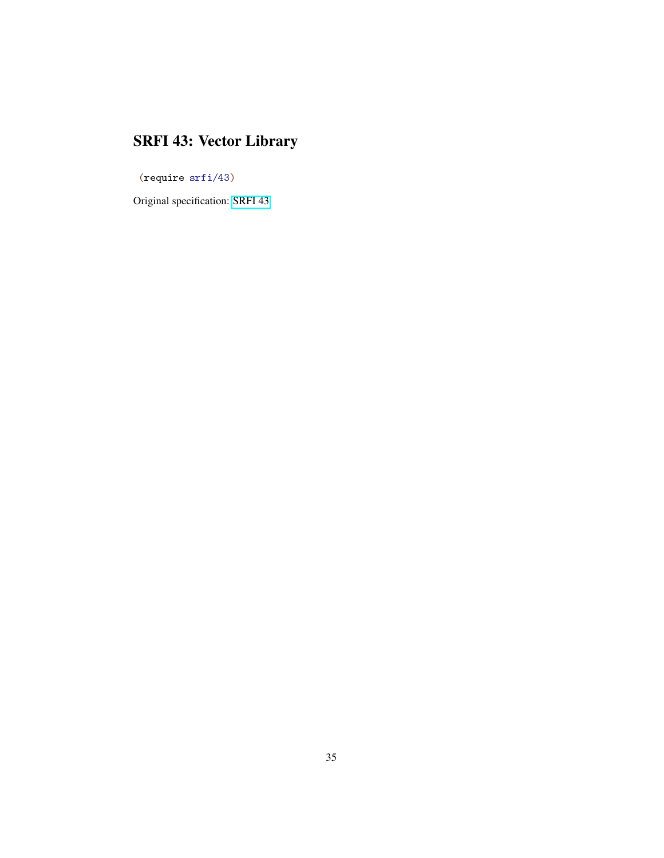# SRFI 43: Vector Library

<span id="page-34-0"></span>(require srfi/43)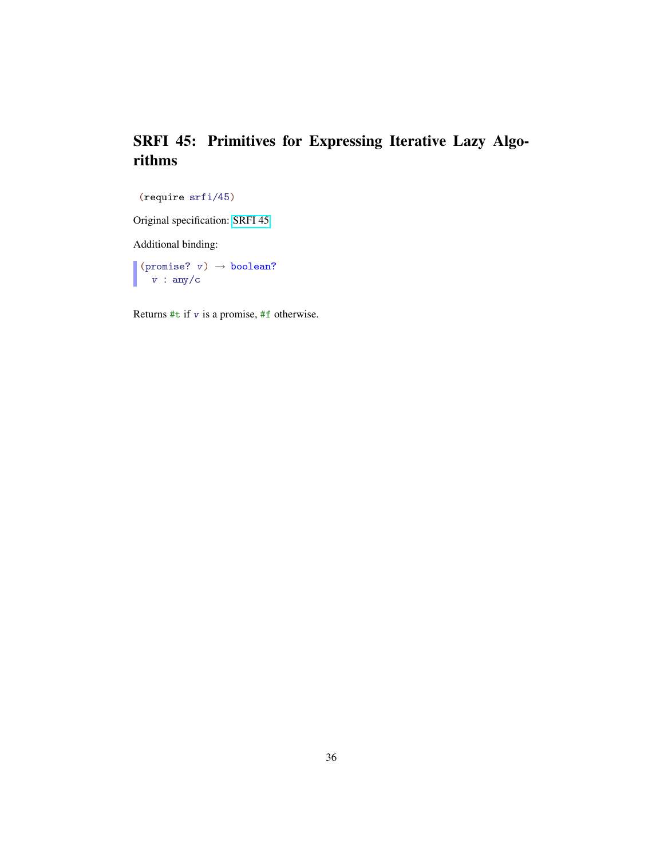#### SRFI 45: Primitives for Expressing Iterative Lazy Algorithms

```
(require srfi/45)
```
Original specification: [SRFI 45](http://docs.racket-lang.org/srfi-std/srfi-45.html)

Additional binding:

(promise?  $v) \rightarrow boolean?$  $v : any/c$ 

Returns  $\#t$  if v is a promise,  $\#f$  otherwise.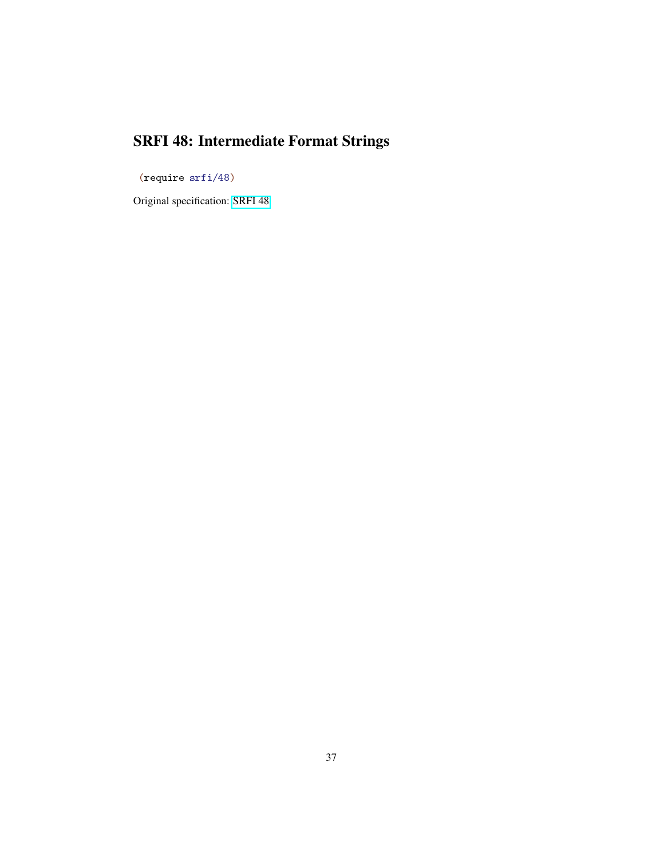# SRFI 48: Intermediate Format Strings

<span id="page-36-0"></span>(require srfi/48)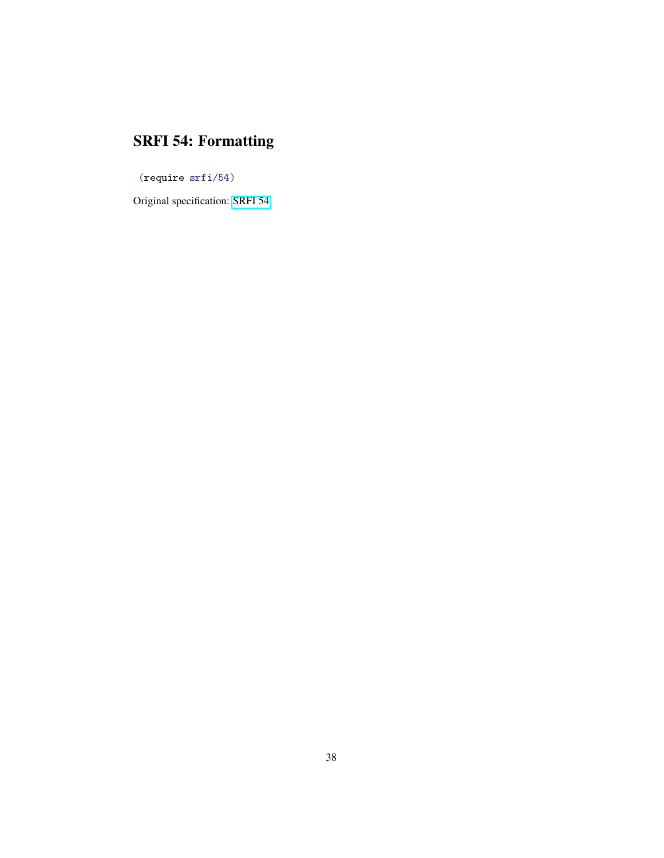# SRFI 54: Formatting

<span id="page-37-0"></span>(require srfi/54)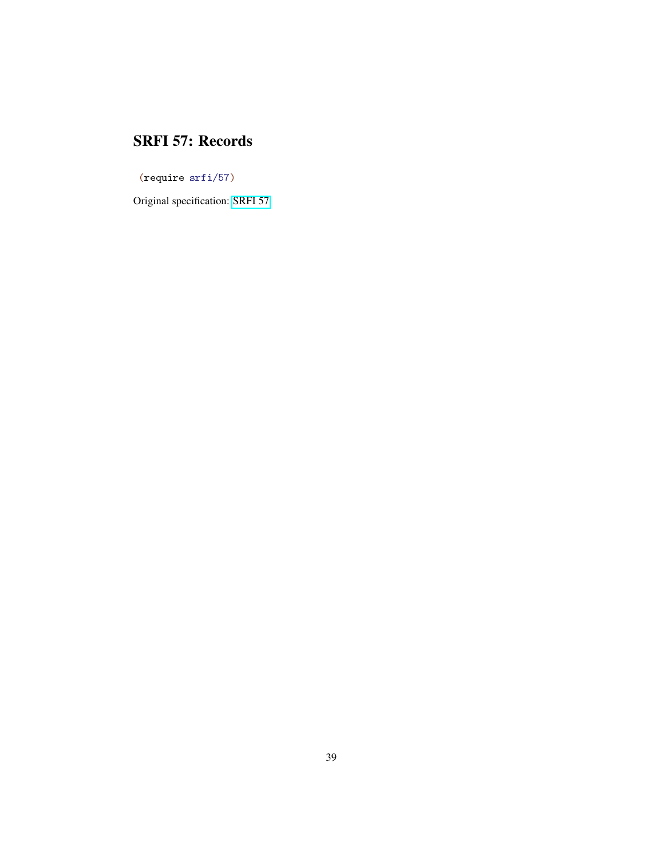#### SRFI 57: Records

<span id="page-38-0"></span>(require srfi/57)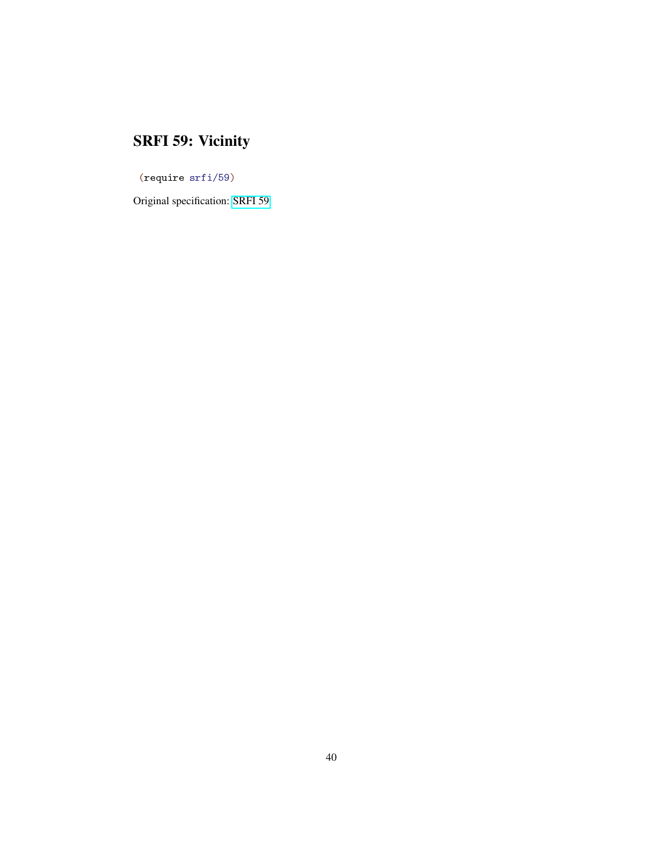# SRFI 59: Vicinity

<span id="page-39-0"></span>(require srfi/59)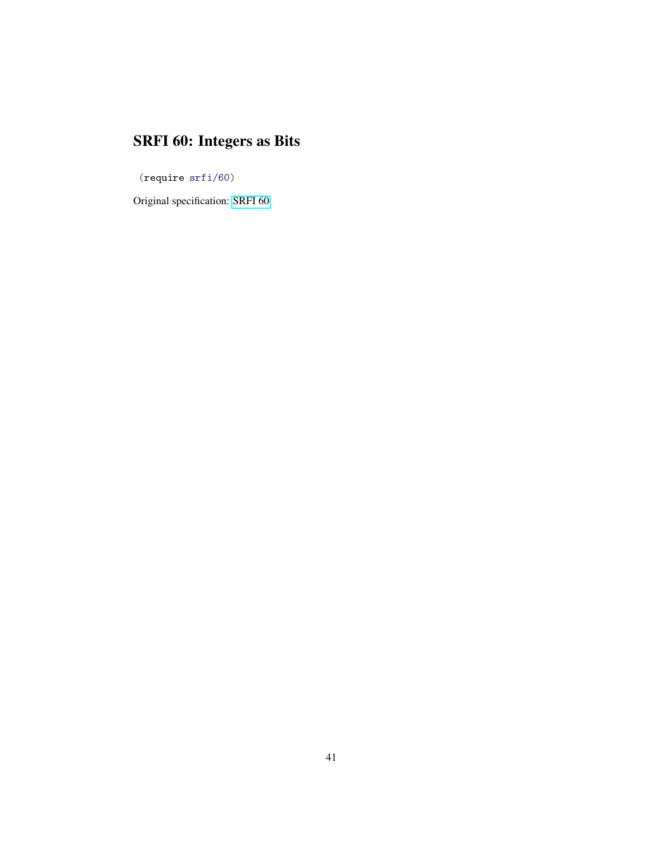# SRFI 60: Integers as Bits

<span id="page-40-0"></span>(require srfi/60)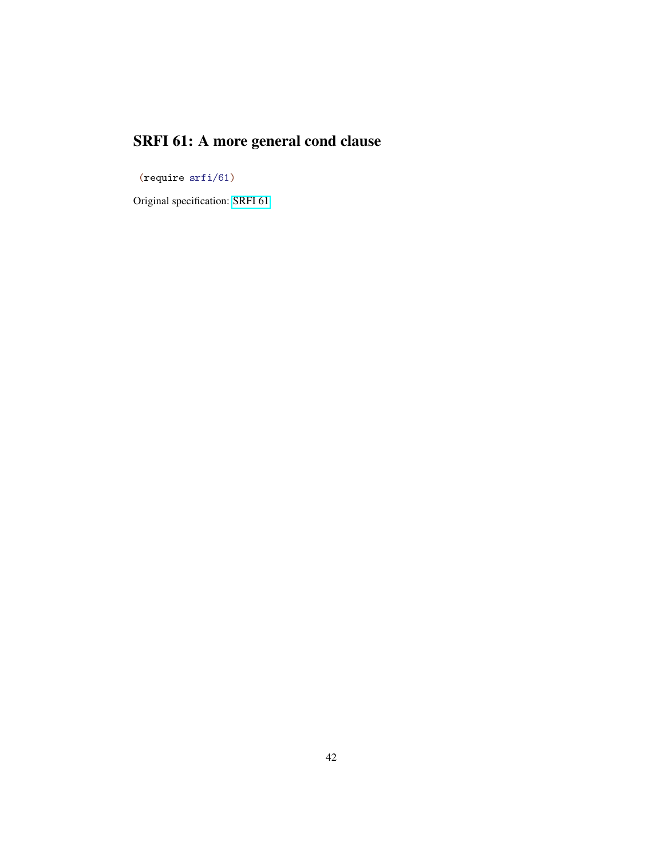# SRFI 61: A more general cond clause

<span id="page-41-0"></span>(require srfi/61)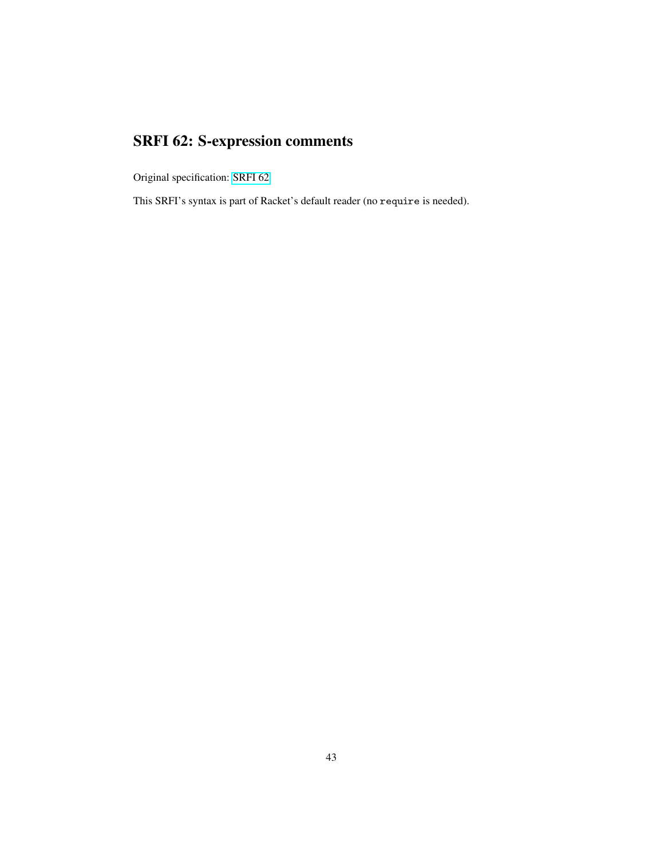# SRFI 62: S-expression comments

<span id="page-42-0"></span>Original specification: [SRFI 62](file:../srfi-std/srfi-62.html)

This SRFI's syntax is part of Racket's default reader (no require is needed).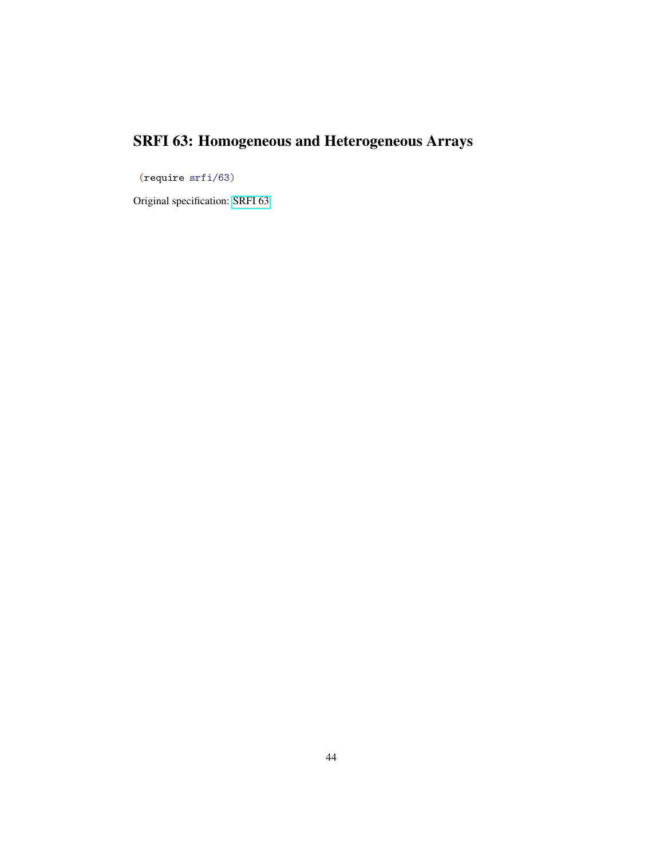# SRFI 63: Homogeneous and Heterogeneous Arrays

<span id="page-43-0"></span>(require srfi/63)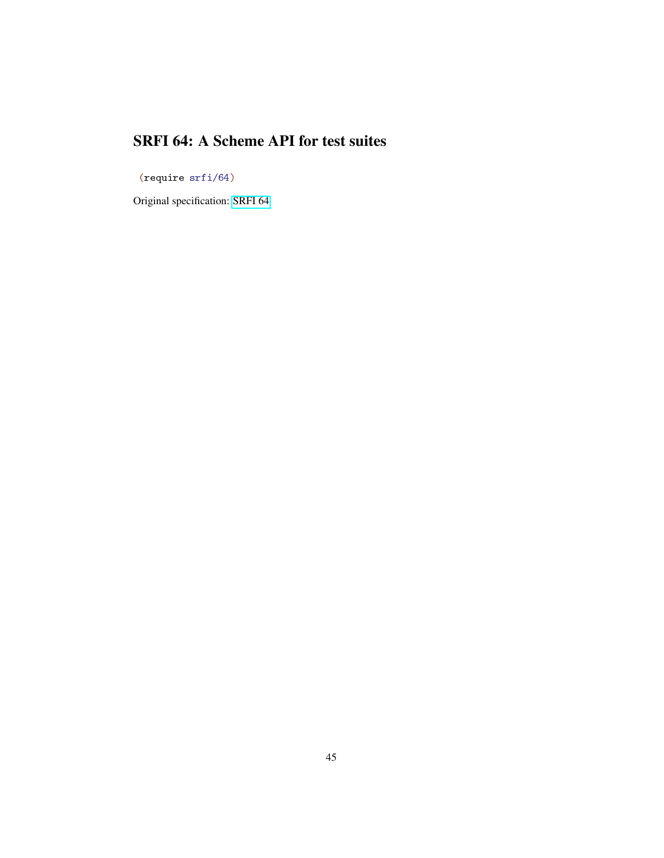### SRFI 64: A Scheme API for test suites

<span id="page-44-0"></span>(require srfi/64)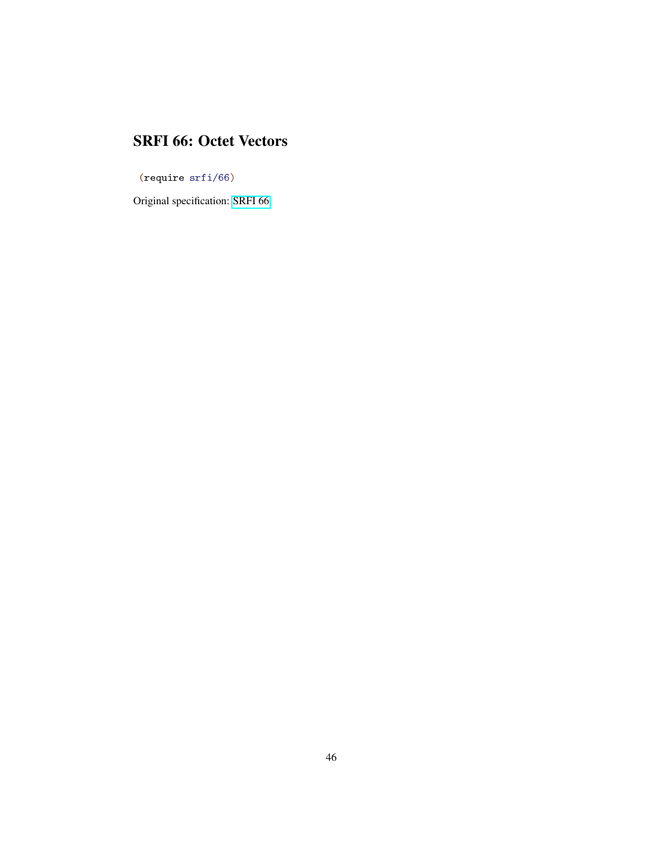#### SRFI 66: Octet Vectors

<span id="page-45-0"></span>(require srfi/66)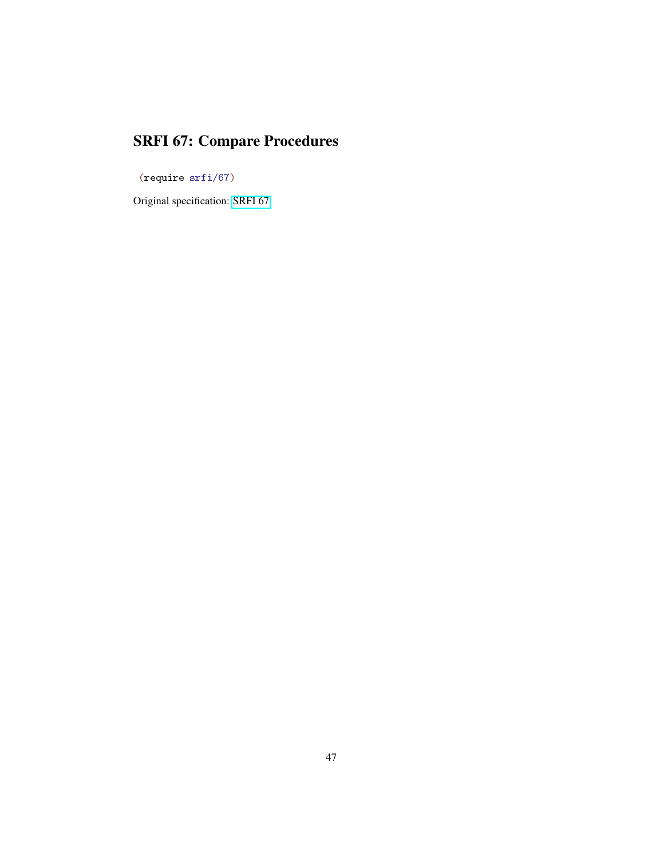# SRFI 67: Compare Procedures

<span id="page-46-0"></span>(require srfi/67)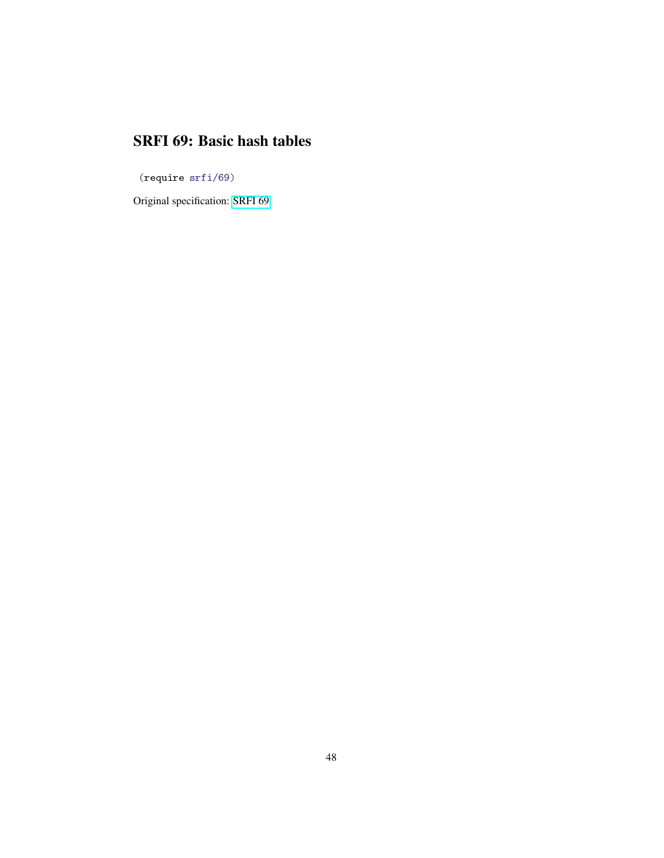#### SRFI 69: Basic hash tables

<span id="page-47-0"></span>(require srfi/69)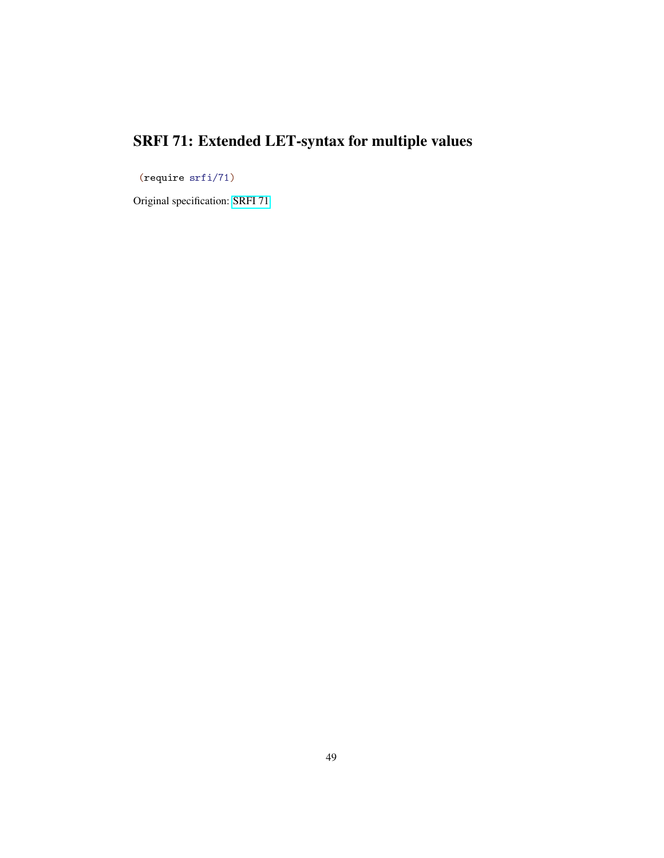# SRFI 71: Extended LET-syntax for multiple values

<span id="page-48-0"></span>(require srfi/71)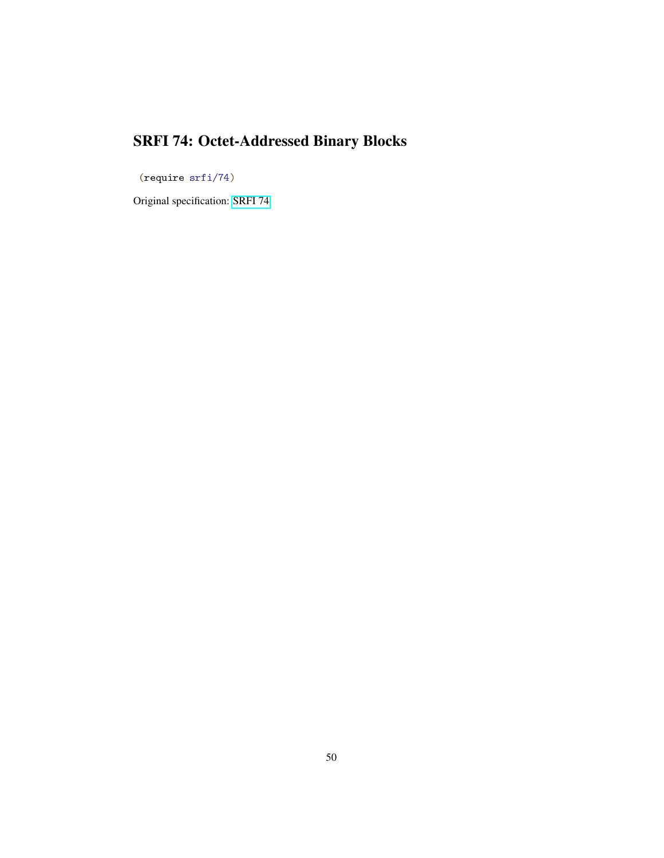# SRFI 74: Octet-Addressed Binary Blocks

<span id="page-49-0"></span>(require srfi/74)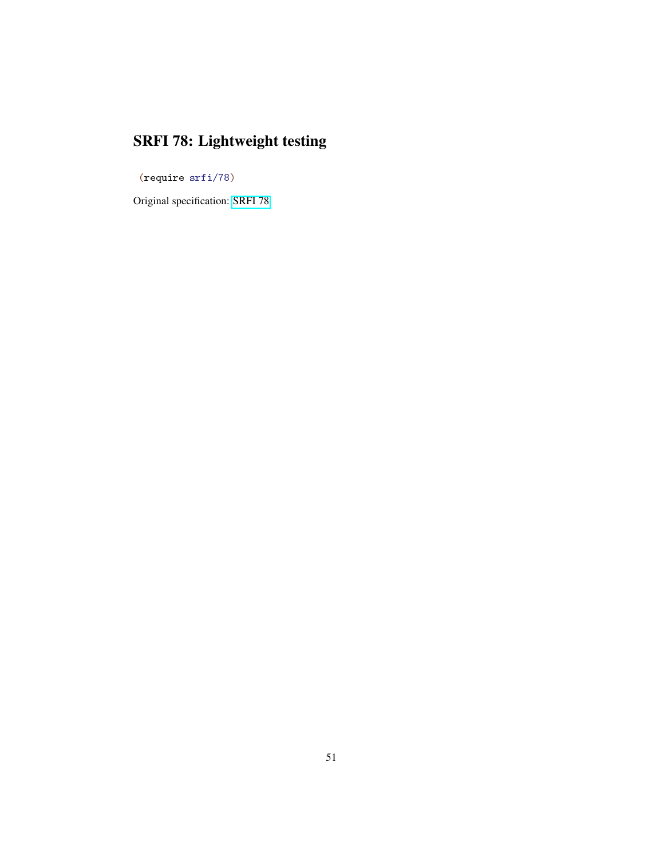# SRFI 78: Lightweight testing

<span id="page-50-0"></span>(require srfi/78)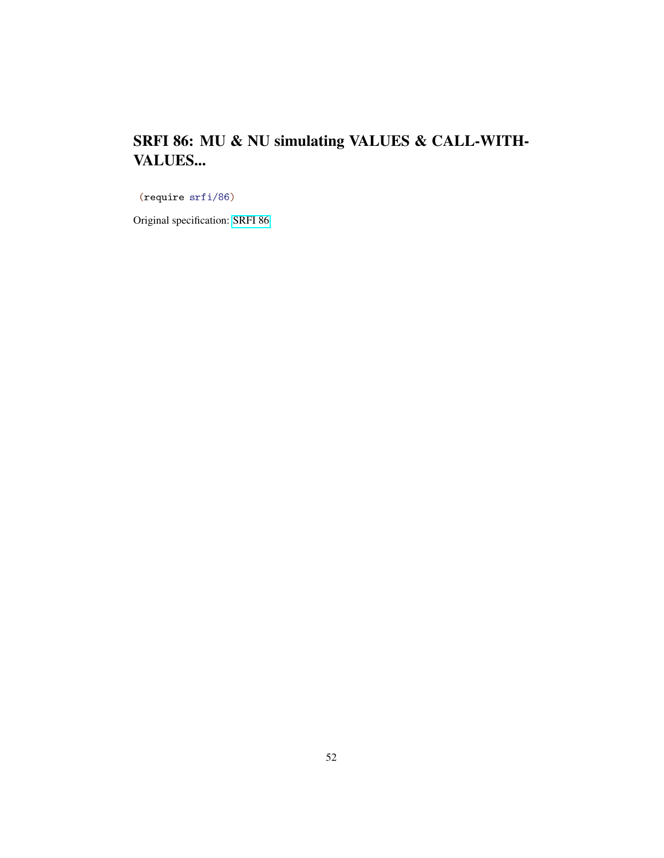### SRFI 86: MU & NU simulating VALUES & CALL-WITH-VALUES...

<span id="page-51-0"></span>(require srfi/86)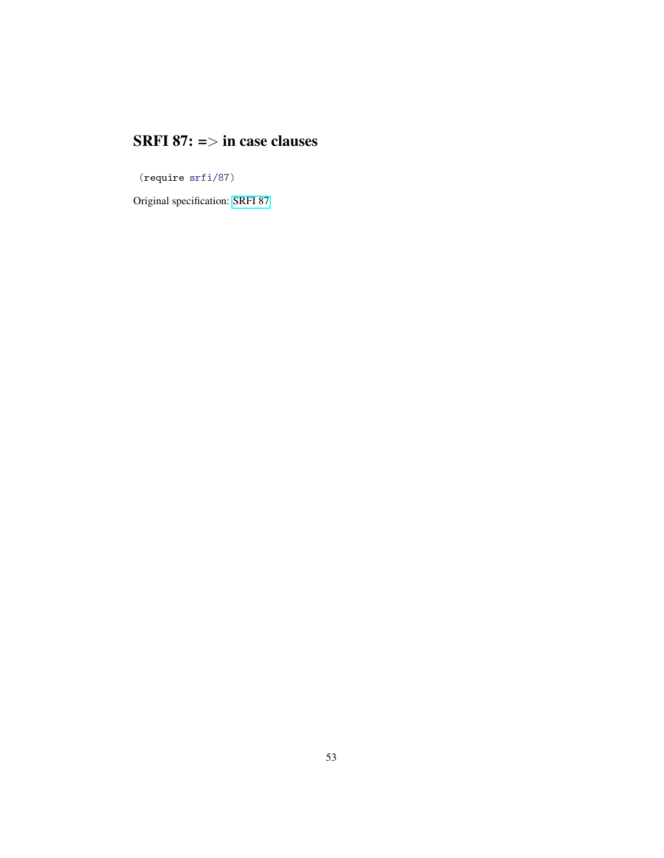### SRFI 87:  $\Rightarrow$  in case clauses

<span id="page-52-0"></span>(require srfi/87)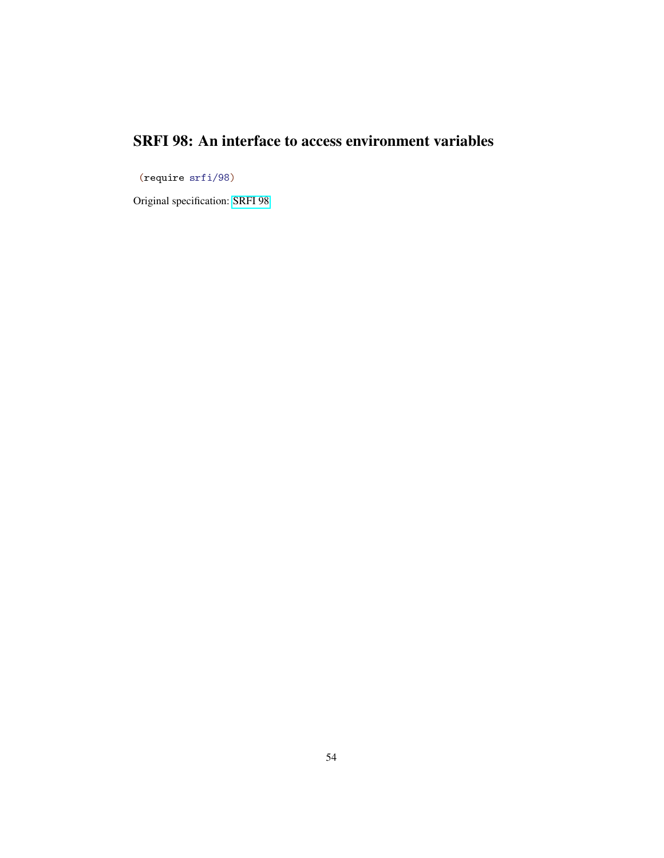### SRFI 98: An interface to access environment variables

<span id="page-53-0"></span>(require srfi/98)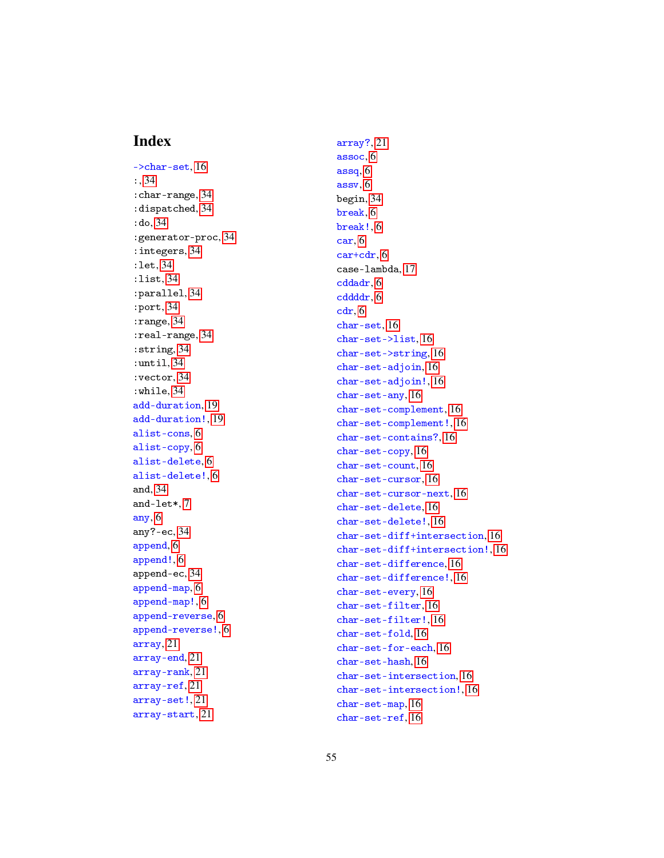#### Index

<span id="page-54-0"></span>->char-set, [16](#page-15-0) :, [34](#page-33-0) :char-range, [34](#page-33-0) :dispatched, [34](#page-33-0) :do, [34](#page-33-0) :generator-proc, [34](#page-33-0) :integers, [34](#page-33-0) :let, [34](#page-33-0) :list, [34](#page-33-0) :parallel, [34](#page-33-0) :port, [34](#page-33-0) :range, [34](#page-33-0) :real-range, [34](#page-33-0) :string, [34](#page-33-0) :until, [34](#page-33-0) :vector, [34](#page-33-0) :while, [34](#page-33-0) add-duration, [19](#page-18-0) add-duration!, [19](#page-18-0) alist-cons, [6](#page-5-0) alist-copy, [6](#page-5-0) alist-delete, [6](#page-5-0) alist-delete!, [6](#page-5-0) and, [34](#page-33-0) and-let\*, [7](#page-6-0) any, [6](#page-5-0) any?-ec, [34](#page-33-0) append, [6](#page-5-0) append!, [6](#page-5-0) append-ec, [34](#page-33-0) append-map, [6](#page-5-0) append-map!, [6](#page-5-0) append-reverse, [6](#page-5-0) append-reverse!, [6](#page-5-0) array, [21](#page-20-0) array-end, [21](#page-20-0) array-rank, [21](#page-20-0) array-ref, [21](#page-20-0) array-set!, [21](#page-20-0) array-start, [21](#page-20-0)

array?, [21](#page-20-0) assoc, [6](#page-5-0) assq, [6](#page-5-0) assv, [6](#page-5-0) begin, [34](#page-33-0) break, [6](#page-5-0) break!, [6](#page-5-0) car, [6](#page-5-0) car+cdr, [6](#page-5-0) case-lambda, [17](#page-16-0) cddadr, [6](#page-5-0) cddddr, [6](#page-5-0) cdr, [6](#page-5-0) char-set, [16](#page-15-0) char-set->list, [16](#page-15-0) char-set->string, [16](#page-15-0) char-set-adjoin, [16](#page-15-0) char-set-adjoin!, [16](#page-15-0) char-set-any, [16](#page-15-0) char-set-complement, [16](#page-15-0) char-set-complement!, [16](#page-15-0) char-set-contains?, [16](#page-15-0) char-set-copy, [16](#page-15-0) char-set-count, [16](#page-15-0) char-set-cursor, [16](#page-15-0) char-set-cursor-next, [16](#page-15-0) char-set-delete, [16](#page-15-0) char-set-delete!, [16](#page-15-0) char-set-diff+intersection, [16](#page-15-0) char-set-diff+intersection!, [16](#page-15-0) char-set-difference, [16](#page-15-0) char-set-difference!, [16](#page-15-0) char-set-every, [16](#page-15-0) char-set-filter, [16](#page-15-0) char-set-filter!, [16](#page-15-0) char-set-fold, [16](#page-15-0) char-set-for-each, [16](#page-15-0) char-set-hash, [16](#page-15-0) char-set-intersection, [16](#page-15-0) char-set-intersection!, [16](#page-15-0) char-set-map, [16](#page-15-0) char-set-ref, [16](#page-15-0)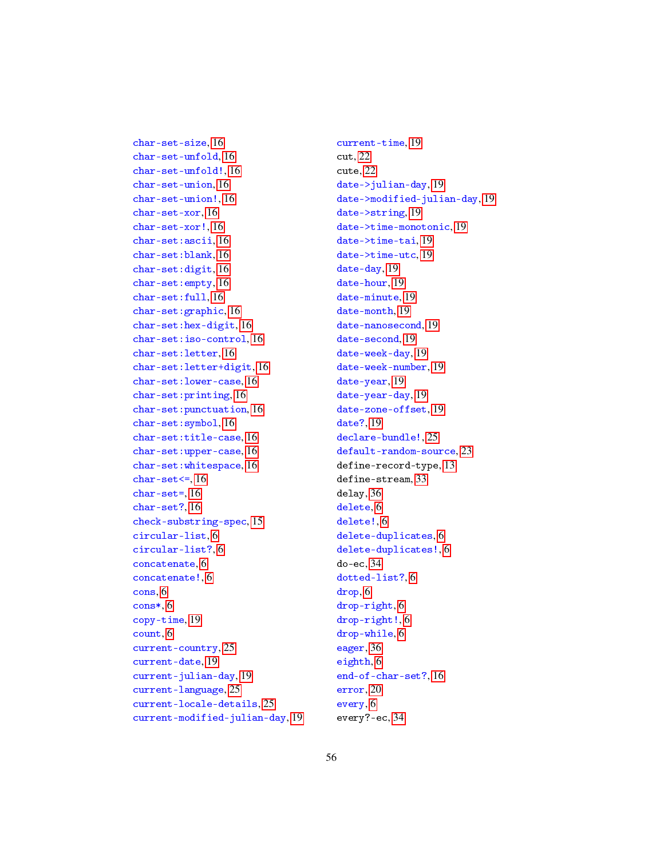char-set-unfold, [16](#page-15-0) char-set-unfold!, [16](#page-15-0) char-set-union, [16](#page-15-0) char-set-union!, [16](#page-15-0) char-set-xor, [16](#page-15-0) char-set-xor!, [16](#page-15-0) char-set:ascii, [16](#page-15-0) char-set:blank, [16](#page-15-0) char-set:digit, [16](#page-15-0) char-set:empty, [16](#page-15-0) char-set:full, [16](#page-15-0) char-set:graphic, [16](#page-15-0) char-set:hex-digit, [16](#page-15-0) char-set:iso-control, [16](#page-15-0) char-set:letter, [16](#page-15-0) char-set:letter+digit, [16](#page-15-0) char-set:lower-case, [16](#page-15-0) char-set:printing, [16](#page-15-0) char-set:punctuation, [16](#page-15-0) char-set:symbol, [16](#page-15-0) char-set:title-case, [16](#page-15-0) char-set:upper-case, [16](#page-15-0) char-set:whitespace, [16](#page-15-0) char-set $\leq$ , [16](#page-15-0) char-set=, [16](#page-15-0) char-set?, [16](#page-15-0) check-substring-spec, [15](#page-14-0) circular-list, [6](#page-5-0) circular-list?, [6](#page-5-0) concatenate, [6](#page-5-0) concatenate!, [6](#page-5-0) cons, [6](#page-5-0) cons\*, [6](#page-5-0) copy-time, [19](#page-18-0) count, [6](#page-5-0) current-country, [25](#page-24-0) current-date, [19](#page-18-0) current-julian-day, [19](#page-18-0) current-language, [25](#page-24-0) current-locale-details, [25](#page-24-0) current-modified-julian-day, [19](#page-18-0)

char-set-size, [16](#page-15-0)

current-time, [19](#page-18-0) cut, [22](#page-21-0) cute, [22](#page-21-0) date->julian-day, [19](#page-18-0) date->modified-julian-day, [19](#page-18-0) date->string, [19](#page-18-0) date->time-monotonic, [19](#page-18-0) date->time-tai, [19](#page-18-0) date->time-utc, [19](#page-18-0) date-day, [19](#page-18-0) date-hour, [19](#page-18-0) date-minute, [19](#page-18-0) date-month, [19](#page-18-0) date-nanosecond, [19](#page-18-0) date-second, [19](#page-18-0) date-week-day, [19](#page-18-0) date-week-number, [19](#page-18-0) date-year, [19](#page-18-0) date-year-day, [19](#page-18-0) date-zone-offset, [19](#page-18-0) date?, [19](#page-18-0) declare-bundle!, [25](#page-24-0) default-random-source, [23](#page-22-0) define-record-type, [13](#page-12-0) define-stream, [33](#page-32-0) delay, [36](#page-35-0) delete, [6](#page-5-0) delete!, [6](#page-5-0) delete-duplicates, [6](#page-5-0) delete-duplicates!, [6](#page-5-0) do-ec, [34](#page-33-0) dotted-list?, [6](#page-5-0) drop, [6](#page-5-0) drop-right, [6](#page-5-0) drop-right!, [6](#page-5-0) drop-while, [6](#page-5-0) eager, [36](#page-35-0) eighth, [6](#page-5-0) end-of-char-set?, [16](#page-15-0) error, [20](#page-19-0) every, [6](#page-5-0) every?-ec, [34](#page-33-0)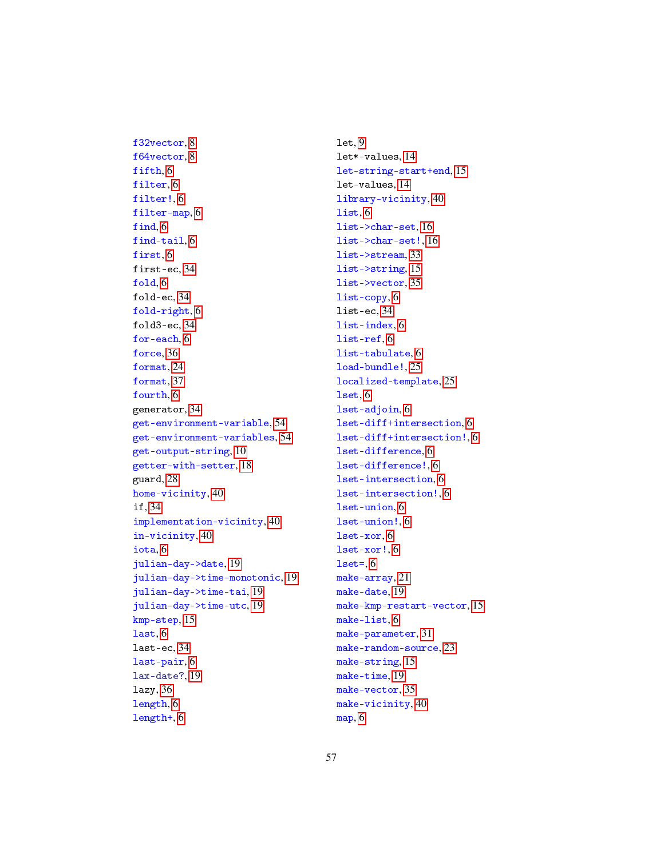f64vector, [8](#page-7-0) fifth, [6](#page-5-0) filter, [6](#page-5-0) filter!, [6](#page-5-0) filter-map, [6](#page-5-0) find, [6](#page-5-0) find-tail, [6](#page-5-0) first, [6](#page-5-0) first-ec, [34](#page-33-0) fold, [6](#page-5-0) fold-ec, [34](#page-33-0) fold-right, [6](#page-5-0) fold3-ec, [34](#page-33-0) for-each, [6](#page-5-0) force, [36](#page-35-0) format, [24](#page-23-0) format, [37](#page-36-0) fourth, [6](#page-5-0) generator, [34](#page-33-0) get-environment-variable, [54](#page-53-0) get-environment-variables, [54](#page-53-0) get-output-string, [10](#page-9-0) getter-with-setter, [18](#page-17-0) guard, [28](#page-27-0) home-vicinity, [40](#page-39-0) if, [34](#page-33-0) implementation-vicinity, [40](#page-39-0) in-vicinity, [40](#page-39-0) iota, [6](#page-5-0) julian-day->date, [19](#page-18-0) julian-day->time-monotonic, [19](#page-18-0) julian-day->time-tai, [19](#page-18-0) julian-day->time-utc, [19](#page-18-0) kmp-step, [15](#page-14-0) last, [6](#page-5-0) last-ec, [34](#page-33-0) last-pair, [6](#page-5-0) lax-date?, [19](#page-18-0) lazy, [36](#page-35-0) length, [6](#page-5-0) length+, [6](#page-5-0)

f32vector, [8](#page-7-0)

let, [9](#page-8-0) let\*-values, [14](#page-13-0) let-string-start+end, [15](#page-14-0) let-values, [14](#page-13-0) library-vicinity, [40](#page-39-0) list, [6](#page-5-0) list->char-set, [16](#page-15-0) list->char-set!, [16](#page-15-0) list->stream, [33](#page-32-0) list->string, [15](#page-14-0) list->vector, [35](#page-34-0) list-copy, [6](#page-5-0) list-ec, [34](#page-33-0) list-index, [6](#page-5-0) list-ref, [6](#page-5-0) list-tabulate, [6](#page-5-0) load-bundle!, [25](#page-24-0) localized-template, [25](#page-24-0) lset, [6](#page-5-0) lset-adjoin, [6](#page-5-0) lset-diff+intersection, [6](#page-5-0) lset-diff+intersection!, [6](#page-5-0) lset-difference, [6](#page-5-0) lset-difference!, [6](#page-5-0) lset-intersection, [6](#page-5-0) lset-intersection!, [6](#page-5-0) lset-union, [6](#page-5-0) lset-union!, [6](#page-5-0) lset-xor, [6](#page-5-0) lset-xor!, [6](#page-5-0)  $lset=$ ,  $6$ make-array, [21](#page-20-0) make-date, [19](#page-18-0) make-kmp-restart-vector, [15](#page-14-0) make-list, [6](#page-5-0) make-parameter, [31](#page-30-0) make-random-source, [23](#page-22-0) make-string, [15](#page-14-0) make-time, [19](#page-18-0) make-vector, [35](#page-34-0) make-vicinity, [40](#page-39-0) map, [6](#page-5-0)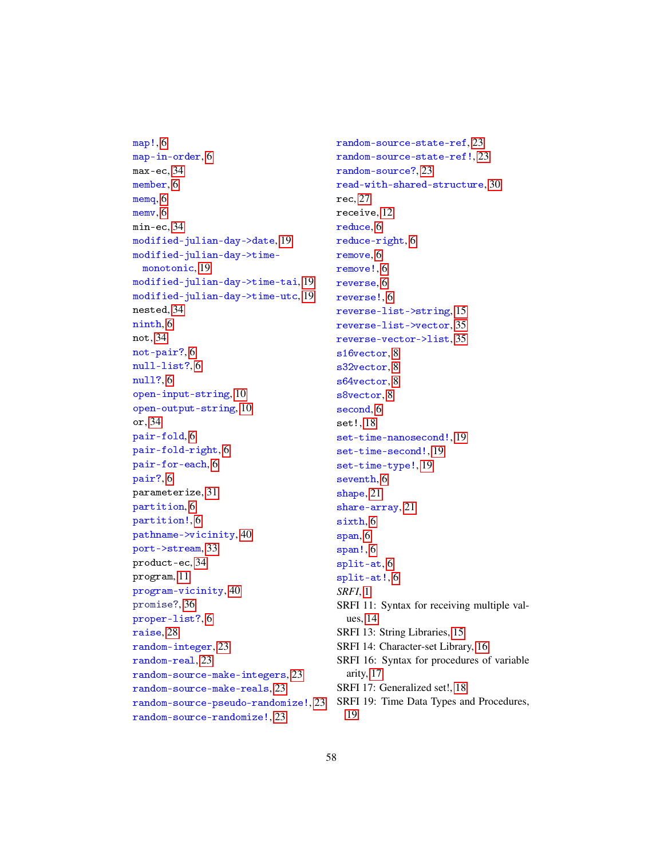```
map!, 6
map-in-order, 6
max-ec, 34
member, 6
memq, 6
memv, 6
min-ec, 34
modified-julian-day->date, 19
modified-julian-day->time-
 monotonic, 19
modified-julian-day->time-tai, 19
modified-julian-day->time-utc, 19
nested, 34
ninth, 6
not, 34
not-pair?, 6
null-list?, 6
null?, 6
open-input-string, 10
open-output-string, 10
or, 34
pair-fold, 6
pair-fold-right, 6
pair-for-each, 6
pair?, 6
parameterize, 31
partition, 6
partition!, 6
pathname->vicinity, 40
port->stream, 33
product-ec, 34
program, 11
program-vicinity, 40
promise?, 36
proper-list?, 6
raise, 28
random-integer, 23
random-real, 23
random-source-make-integers, 23
random-source-make-reals, 23
random-source-pseudo-randomize!, 23
random-source-randomize!, 23
```
random-source-state-ref, [23](#page-22-0) random-source-state-ref!, [23](#page-22-0) random-source?, [23](#page-22-0) read-with-shared-structure, [30](#page-29-0) rec, [27](#page-26-0) receive, [12](#page-11-0) reduce, [6](#page-5-0) reduce-right, [6](#page-5-0) remove, [6](#page-5-0) remove!, [6](#page-5-0) reverse, [6](#page-5-0) reverse!, [6](#page-5-0) reverse-list->string, [15](#page-14-0) reverse-list->vector, [35](#page-34-0) reverse-vector->list, [35](#page-34-0) s16vector, [8](#page-7-0) s32vector, [8](#page-7-0) s64vector, [8](#page-7-0) s8vector, [8](#page-7-0) second, [6](#page-5-0) set!, [18](#page-17-0) set-time-nanosecond!, [19](#page-18-0) set-time-second!, [19](#page-18-0) set-time-type!, [19](#page-18-0) seventh, [6](#page-5-0) shape, [21](#page-20-0) share-array, [21](#page-20-0) sixth, [6](#page-5-0) span, [6](#page-5-0) span!, [6](#page-5-0) split-at, [6](#page-5-0) split-at!, [6](#page-5-0) *SRFI*, [1](#page-0-0) SRFI 11: Syntax for receiving multiple values, [14](#page-13-0) SRFI 13: String Libraries, [15](#page-14-0) SRFI 14: Character-set Library, [16](#page-15-0) SRFI 16: Syntax for procedures of variable arity, [17](#page-16-0) SRFI 17: Generalized set!, [18](#page-17-0) SRFI 19: Time Data Types and Procedures, [19](#page-18-0)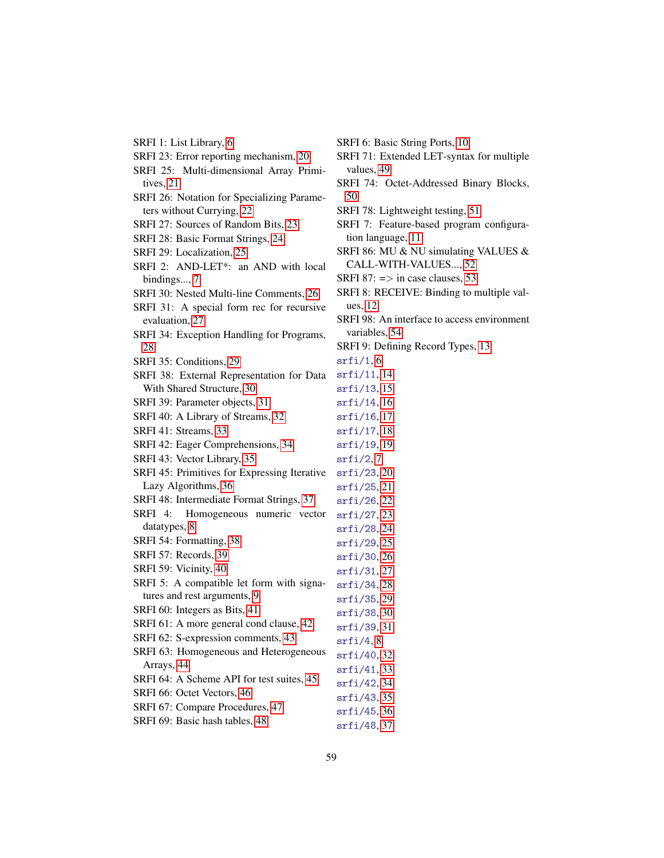| SRFI 1: List Library, 6                      | SRFI 6: Basio      |
|----------------------------------------------|--------------------|
| SRFI 23: Error reporting mechanism, 20       | SRFI 71: Ext       |
| SRFI 25: Multi-dimensional Array Primi-      | values, 49         |
| tives, 21                                    | SRFI 74: O         |
| SRFI 26: Notation for Specializing Parame-   | 50                 |
| ters without Currying, 22                    | SRFI 78: Lig       |
| SRFI 27: Sources of Random Bits, 23          | SRFI 7: Fea        |
| SRFI 28: Basic Format Strings, 24            | tion langua        |
| SRFI 29: Localization, 25                    | SRFI 86: MU        |
| SRFI 2: AND-LET*: an AND with local          | CALL-WIT           |
| bindings, 7                                  | SRFI 87: $=$ >     |
| SRFI 30: Nested Multi-line Comments, 26      | <b>SRFI 8: REC</b> |
| SRFI 31: A special form rec for recursive    | ues, $12$          |
| evaluation, 27                               | SRFI 98: An        |
| SRFI 34: Exception Handling for Programs,    | variables, 5       |
| 28                                           | SRFI 9: Defin      |
| SRFI 35: Conditions, 29                      | srfi/1,6           |
| SRFI 38: External Representation for Data    | srfi/11, 14        |
| With Shared Structure, 30                    | srfi/13, 15        |
| SRFI 39: Parameter objects, 31               | srfi/14, 16        |
| SRFI 40: A Library of Streams, 32            | srfi/16, 17        |
| SRFI 41: Streams, 33                         | srfi/17, 18        |
| SRFI 42: Eager Comprehensions, 34            | srfi/19, 19        |
| SRFI 43: Vector Library, 35                  | srfi/2,7           |
| SRFI 45: Primitives for Expressing Iterative | srfi/23, 20        |
| Lazy Algorithms, 36                          | srfi/25, 21        |
| SRFI 48: Intermediate Format Strings, 37     | srfi/26, 22        |
| Homogeneous numeric vector<br>SRFI 4:        | srfi/27,23         |
| datatypes, 8                                 | srfi/28, 24        |
| SRFI 54: Formatting, 38                      | srfi/29,25         |
| SRFI 57: Records, 39                         | srfi/30, 26        |
| SRFI 59: Vicinity, 40                        | srfi/31, 27        |
| SRFI 5: A compatible let form with signa-    | srfi/34,28         |
| tures and rest arguments, 9                  | srfi/35,29         |
| SRFI 60: Integers as Bits, 41                | srfi/38, 30        |
| SRFI 61: A more general cond clause, 42      | srfi/39, 31        |
| SRFI 62: S-expression comments, 43           | srfi/4,8           |
| SRFI 63: Homogeneous and Heterogeneous       | srfi/40, 32        |
| Arrays, 44                                   | srfi/41, 33        |
| SRFI 64: A Scheme API for test suites, 45    | srfi/42, 34        |
| SRFI 66: Octet Vectors, 46                   | srfi/43, 35        |
| SRFI 67: Compare Procedures, 47              | srfi/45, 36        |
| SRFI 69: Basic hash tables, 48               |                    |
|                                              | srfi/48, 37        |

- SRFI 6: Basic String Ports, [10](#page-9-0)
- 71: Extended LET-syntax for multiple  $i$ es, [49](#page-48-0)
- 74: Octet-Addressed Binary Blocks,
- 78: Lightweight testing, [51](#page-50-0)
- 7: Feature-based program configura-language, [11](#page-10-0)
- 86: MU & NU simulating VALUES & LL-WITH-VALUES..., [52](#page-51-0)
- $87: \Rightarrow$  in case clauses, [53](#page-52-0)
- 8: RECEIVE: Binding to multiple val-12
- 98: An interface to access environment ables, [54](#page-53-0)
- 9: Defining Record Types, [13](#page-12-0)

- - 59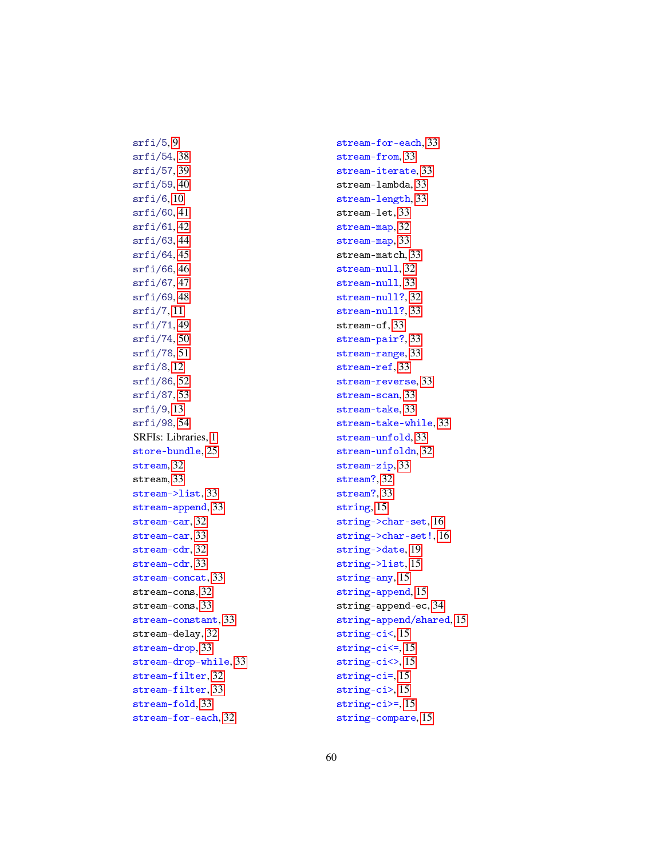srfi/54, [38](#page-37-0) srfi/57, [39](#page-38-0) srfi/59, [40](#page-39-0) srfi/6, [10](#page-9-0) srfi/60, [41](#page-40-0) srfi/61, [42](#page-41-0) srfi/63, [44](#page-43-0) srfi/64, [45](#page-44-0) srfi/66, [46](#page-45-0) srfi/67, [47](#page-46-0) srfi/69, [48](#page-47-0) srfi/7, [11](#page-10-0) srfi/71, [49](#page-48-0) srfi/74, [50](#page-49-0) srfi/78, [51](#page-50-0) srfi/8, [12](#page-11-0) srfi/86, [52](#page-51-0) srfi/87, [53](#page-52-0) srfi/9, [13](#page-12-0) srfi/98, [54](#page-53-0) SRFIs: Libraries, [1](#page-0-0) store-bundle, [25](#page-24-0) stream, [32](#page-31-0) stream, [33](#page-32-0) stream->list, [33](#page-32-0) stream-append, [33](#page-32-0) stream-car, [32](#page-31-0) stream-car, [33](#page-32-0) stream-cdr, [32](#page-31-0) stream-cdr, [33](#page-32-0) stream-concat, [33](#page-32-0) stream-cons, [32](#page-31-0) stream-cons, [33](#page-32-0) stream-constant, [33](#page-32-0) stream-delay, [32](#page-31-0) stream-drop, [33](#page-32-0) stream-drop-while, [33](#page-32-0) stream-filter, [32](#page-31-0) stream-filter, [33](#page-32-0) stream-fold, [33](#page-32-0) stream-for-each, [32](#page-31-0)

 $srfi/5, 9$  $srfi/5, 9$ 

stream-for-each, [33](#page-32-0) stream-from, [33](#page-32-0) stream-iterate, [33](#page-32-0) stream-lambda, [33](#page-32-0) stream-length, [33](#page-32-0) stream-let, [33](#page-32-0) stream-map, [32](#page-31-0) stream-map, [33](#page-32-0) stream-match, [33](#page-32-0) stream-null, [32](#page-31-0) stream-null, [33](#page-32-0) stream-null?, [32](#page-31-0) stream-null?, [33](#page-32-0) stream-of, [33](#page-32-0) stream-pair?, [33](#page-32-0) stream-range, [33](#page-32-0) stream-ref, [33](#page-32-0) stream-reverse, [33](#page-32-0) stream-scan, [33](#page-32-0) stream-take, [33](#page-32-0) stream-take-while, [33](#page-32-0) stream-unfold, [33](#page-32-0) stream-unfoldn, [32](#page-31-0) stream-zip, [33](#page-32-0) stream?, [32](#page-31-0) stream?, [33](#page-32-0) string, [15](#page-14-0) string->char-set, [16](#page-15-0) string->char-set!, [16](#page-15-0) string->date, [19](#page-18-0) string->list, [15](#page-14-0) string-any, [15](#page-14-0) string-append, [15](#page-14-0) string-append-ec, [34](#page-33-0) string-append/shared, [15](#page-14-0) string-ci<, [15](#page-14-0) string-ci<=, [15](#page-14-0) string-ci<>, [15](#page-14-0) string-ci=, [15](#page-14-0) string-ci>, [15](#page-14-0) string-ci>=, [15](#page-14-0) string-compare, [15](#page-14-0)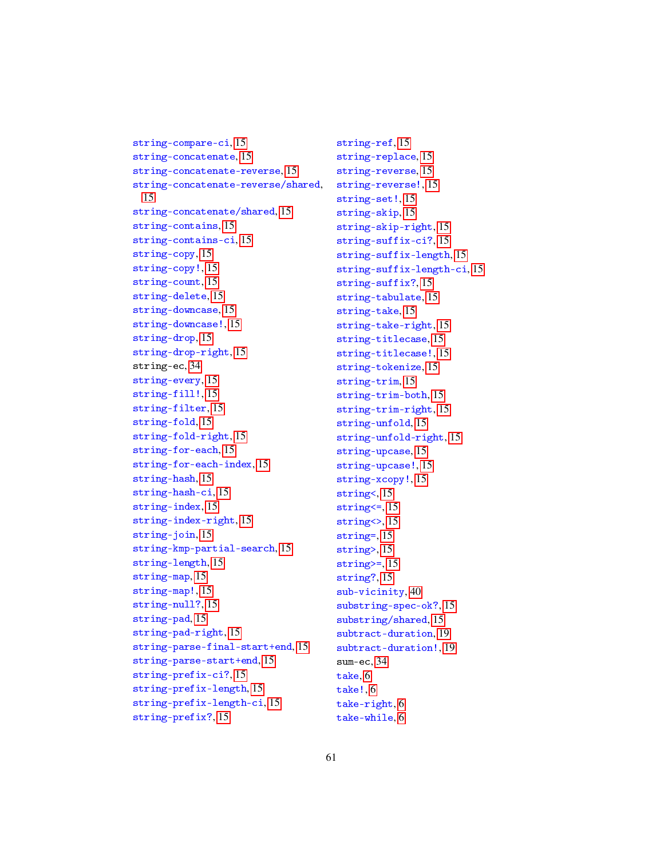```
string-compare-ci, 15
string-concatenate, 15
string-concatenate-reverse, 15
string-concatenate-reverse/shared,
 15
string-concatenate/shared, 15
string-contains, 15
string-contains-ci, 15
string-copy, 15
string-copy!, 15
string-count, 15
string-delete, 15
string-downcase, 15
string-downcase!, 15
string-drop, 15
string-drop-right, 15
string-ec, 34
string-every, 15
string-fill!, 15
string-filter, 15
string-fold, 15
string-fold-right, 15
string-for-each, 15
string-for-each-index, 15
string-hash, 15
string-hash-ci, 15
string-index, 15
string-index-right, 15
 15
string-kmp-partial-search, 15
string-length, 15
string-map, 15
string-map!, 15
string-null?, 15
string-pad, 15
string-pad-right, 15
string-parse-final-start+end, 15
string-parse-start+end, 15
string-prefix-ci?, 15
string-prefix-length, 15
string-prefix-length-ci, 15
string-prefix?, 15
```
string-ref, [15](#page-14-0) string-replace, [15](#page-14-0) string-reverse, [15](#page-14-0) string-reverse!, [15](#page-14-0) string-set!, [15](#page-14-0) string-skip, [15](#page-14-0) string-skip-right, [15](#page-14-0) string-suffix-ci?, [15](#page-14-0) string-suffix-length, [15](#page-14-0) string-suffix-length-ci, [15](#page-14-0) string-suffix?, [15](#page-14-0) string-tabulate, [15](#page-14-0) string-take, [15](#page-14-0) string-take-right, [15](#page-14-0) string-titlecase, [15](#page-14-0) string-titlecase!, [15](#page-14-0) string-tokenize, [15](#page-14-0) string-trim, [15](#page-14-0) string-trim-both, [15](#page-14-0) string-trim-right, [15](#page-14-0) string-unfold, [15](#page-14-0) string-unfold-right, [15](#page-14-0) string-upcase, [15](#page-14-0) string-upcase!, [15](#page-14-0) string-xcopy!, [15](#page-14-0) string<, [15](#page-14-0) string<=, [15](#page-14-0) string<>, [15](#page-14-0) string=, [15](#page-14-0) string>, [15](#page-14-0) string>=, [15](#page-14-0) string?, [15](#page-14-0) sub-vicinity, [40](#page-39-0) substring-spec-ok?, [15](#page-14-0) substring/shared, [15](#page-14-0) subtract-duration, [19](#page-18-0) subtract-duration!, [19](#page-18-0) sum-ec, [34](#page-33-0) take, [6](#page-5-0) take!, [6](#page-5-0) take-right, [6](#page-5-0) take-while, [6](#page-5-0)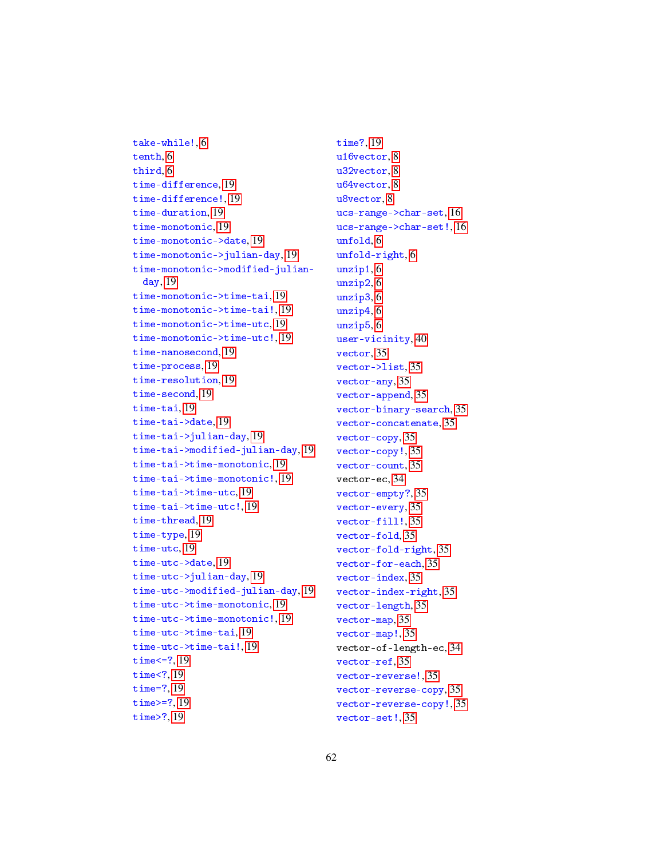take-while!, [6](#page-5-0) tenth, [6](#page-5-0) third, [6](#page-5-0) time-difference, [19](#page-18-0) time-difference!, [19](#page-18-0) time-duration, [19](#page-18-0) time-monotonic, [19](#page-18-0) time-monotonic->date, [19](#page-18-0) time-monotonic->julian-day, [19](#page-18-0) time-monotonic->modified-julianday, [19](#page-18-0) time-monotonic->time-tai, [19](#page-18-0) time-monotonic->time-tai!, [19](#page-18-0) time-monotonic->time-utc, [19](#page-18-0) time-monotonic->time-utc!, [19](#page-18-0) time-nanosecond, [19](#page-18-0) time-process, [19](#page-18-0) time-resolution, [19](#page-18-0) time-second, [19](#page-18-0) time-tai, [19](#page-18-0) time-tai->date, [19](#page-18-0) time-tai->julian-day, [19](#page-18-0) time-tai->modified-julian-day, [19](#page-18-0) time-tai->time-monotonic, [19](#page-18-0) time-tai->time-monotonic!, [19](#page-18-0) time-tai->time-utc, [19](#page-18-0) time-tai->time-utc!, [19](#page-18-0) time-thread, [19](#page-18-0) time-type, [19](#page-18-0) time-utc, [19](#page-18-0) time-utc->date, [19](#page-18-0) time-utc->julian-day, [19](#page-18-0) time-utc->modified-julian-day, [19](#page-18-0) time-utc->time-monotonic, [19](#page-18-0) time-utc->time-monotonic!, [19](#page-18-0) time-utc->time-tai, [19](#page-18-0) time-utc->time-tai!, [19](#page-18-0) time<=?, [19](#page-18-0) time<?, [19](#page-18-0) time=?, [19](#page-18-0) time>=?, [19](#page-18-0) time>?, [19](#page-18-0)

time?, [19](#page-18-0) u16vector, [8](#page-7-0) u32vector, [8](#page-7-0) u64vector, [8](#page-7-0) u8vector, [8](#page-7-0) ucs-range->char-set, [16](#page-15-0) ucs-range->char-set!, [16](#page-15-0) unfold, [6](#page-5-0) unfold-right, [6](#page-5-0) unzip1, [6](#page-5-0) unzip2, [6](#page-5-0) unzip3, [6](#page-5-0) unzip4, [6](#page-5-0) unzip5, [6](#page-5-0) user-vicinity, [40](#page-39-0) vector, [35](#page-34-0) vector->list, [35](#page-34-0) vector-any, [35](#page-34-0) vector-append, [35](#page-34-0) vector-binary-search, [35](#page-34-0) vector-concatenate, [35](#page-34-0) vector-copy, [35](#page-34-0) vector-copy!, [35](#page-34-0) vector-count, [35](#page-34-0) vector-ec, [34](#page-33-0) vector-empty?, [35](#page-34-0) vector-every, [35](#page-34-0) vector-fill!, [35](#page-34-0) vector-fold, [35](#page-34-0) vector-fold-right, [35](#page-34-0) vector-for-each, [35](#page-34-0) vector-index, [35](#page-34-0) vector-index-right, [35](#page-34-0) vector-length, [35](#page-34-0) vector-map, [35](#page-34-0) vector-map!, [35](#page-34-0) vector-of-length-ec, [34](#page-33-0) vector-ref, [35](#page-34-0) vector-reverse!, [35](#page-34-0) vector-reverse-copy, [35](#page-34-0) vector-reverse-copy!, [35](#page-34-0) vector-set!, [35](#page-34-0)